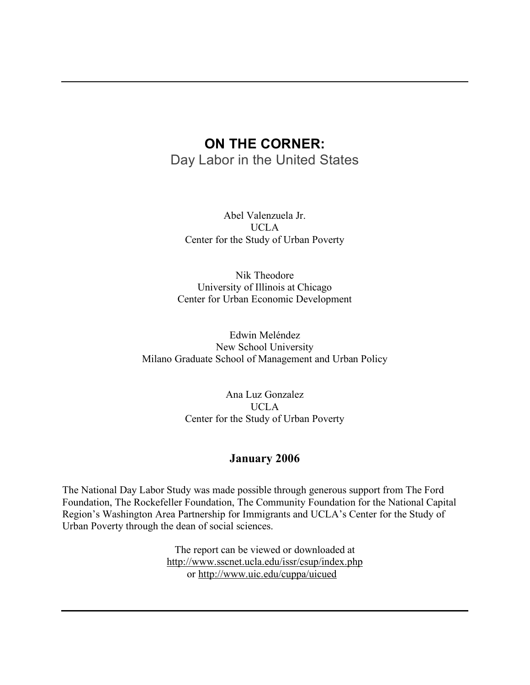# **ON THE CORNER:**

Day Labor in the United States

Abel Valenzuela Jr. UCLA Center for the Study of Urban Poverty

Nik Theodore University of Illinois at Chicago Center for Urban Economic Development

Edwin Meléndez New School University Milano Graduate School of Management and Urban Policy

> Ana Luz Gonzalez UCLA Center for the Study of Urban Poverty

### **January 2006**

The National Day Labor Study was made possible through generous support from The Ford Foundation, The Rockefeller Foundation, The Community Foundation for the National Capital Region's Washington Area Partnership for Immigrants and UCLA's Center for the Study of Urban Poverty through the dean of social sciences.

> The report can be viewed or downloaded at http://www.sscnet.ucla.edu/issr/csup/index.php or http://www.uic.edu/cuppa/uicued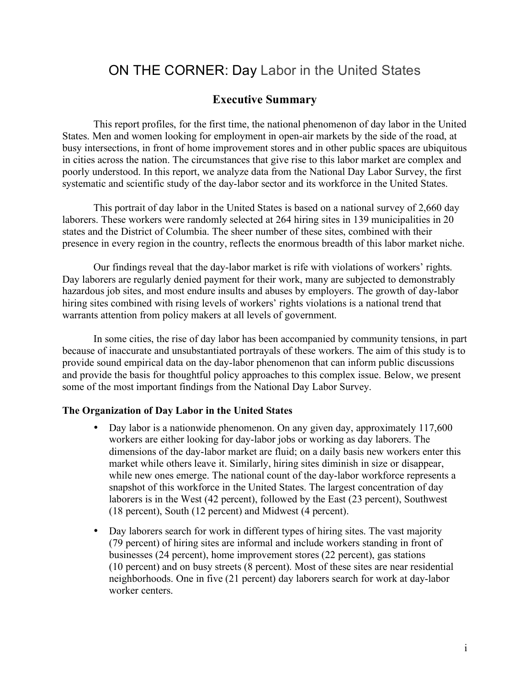# ON THE CORNER: Day Labor in the United States

# **Executive Summary**

This report profiles, for the first time, the national phenomenon of day labor in the United States. Men and women looking for employment in open-air markets by the side of the road, at busy intersections, in front of home improvement stores and in other public spaces are ubiquitous in cities across the nation. The circumstances that give rise to this labor market are complex and poorly understood. In this report, we analyze data from the National Day Labor Survey, the first systematic and scientific study of the day-labor sector and its workforce in the United States.

This portrait of day labor in the United States is based on a national survey of 2,660 day laborers. These workers were randomly selected at 264 hiring sites in 139 municipalities in 20 states and the District of Columbia. The sheer number of these sites, combined with their presence in every region in the country, reflects the enormous breadth of this labor market niche.

Our findings reveal that the day-labor market is rife with violations of workers' rights. Day laborers are regularly denied payment for their work, many are subjected to demonstrably hazardous job sites, and most endure insults and abuses by employers. The growth of day-labor hiring sites combined with rising levels of workers' rights violations is a national trend that warrants attention from policy makers at all levels of government.

In some cities, the rise of day labor has been accompanied by community tensions, in part because of inaccurate and unsubstantiated portrayals of these workers. The aim of this study is to provide sound empirical data on the day-labor phenomenon that can inform public discussions and provide the basis for thoughtful policy approaches to this complex issue. Below, we present some of the most important findings from the National Day Labor Survey.

### **The Organization of Day Labor in the United States**

- Day labor is a nationwide phenomenon. On any given day, approximately 117,600 workers are either looking for day-labor jobs or working as day laborers. The dimensions of the day-labor market are fluid; on a daily basis new workers enter this market while others leave it. Similarly, hiring sites diminish in size or disappear, while new ones emerge. The national count of the day-labor workforce represents a snapshot of this workforce in the United States. The largest concentration of day laborers is in the West (42 percent), followed by the East (23 percent), Southwest (18 percent), South (12 percent) and Midwest (4 percent).
- Day laborers search for work in different types of hiring sites. The vast majority (79 percent) of hiring sites are informal and include workers standing in front of businesses (24 percent), home improvement stores (22 percent), gas stations (10 percent) and on busy streets (8 percent). Most of these sites are near residential neighborhoods. One in five (21 percent) day laborers search for work at day-labor worker centers.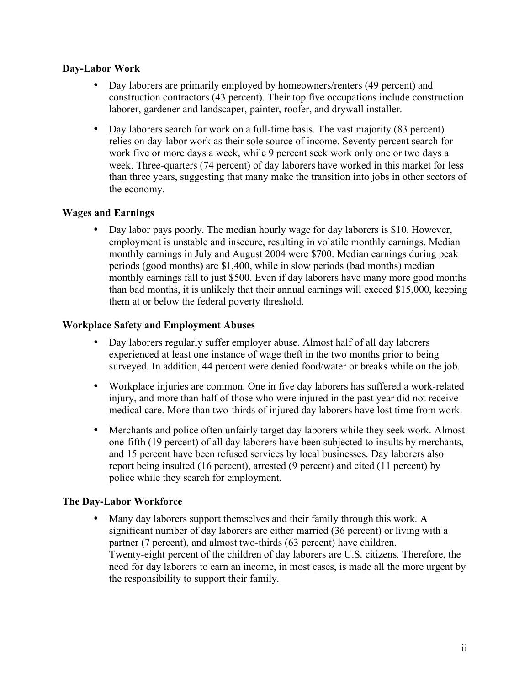### **Day-Labor Work**

- Day laborers are primarily employed by homeowners/renters (49 percent) and construction contractors (43 percent). Their top five occupations include construction laborer, gardener and landscaper, painter, roofer, and drywall installer.
- Day laborers search for work on a full-time basis. The vast majority (83 percent) relies on day-labor work as their sole source of income. Seventy percent search for work five or more days a week, while 9 percent seek work only one or two days a week. Three-quarters (74 percent) of day laborers have worked in this market for less than three years, suggesting that many make the transition into jobs in other sectors of the economy.

### **Wages and Earnings**

• Day labor pays poorly. The median hourly wage for day laborers is \$10. However, employment is unstable and insecure, resulting in volatile monthly earnings. Median monthly earnings in July and August 2004 were \$700. Median earnings during peak periods (good months) are \$1,400, while in slow periods (bad months) median monthly earnings fall to just \$500. Even if day laborers have many more good months than bad months, it is unlikely that their annual earnings will exceed \$15,000, keeping them at or below the federal poverty threshold.

### **Workplace Safety and Employment Abuses**

- Day laborers regularly suffer employer abuse. Almost half of all day laborers experienced at least one instance of wage theft in the two months prior to being surveyed. In addition, 44 percent were denied food/water or breaks while on the job.
- Workplace injuries are common. One in five day laborers has suffered a work-related injury, and more than half of those who were injured in the past year did not receive medical care. More than two-thirds of injured day laborers have lost time from work.
- Merchants and police often unfairly target day laborers while they seek work. Almost one-fifth (19 percent) of all day laborers have been subjected to insults by merchants, and 15 percent have been refused services by local businesses. Day laborers also report being insulted (16 percent), arrested (9 percent) and cited (11 percent) by police while they search for employment.

### **The Day-Labor Workforce**

Many day laborers support themselves and their family through this work. A significant number of day laborers are either married (36 percent) or living with a partner (7 percent), and almost two-thirds (63 percent) have children. Twenty-eight percent of the children of day laborers are U.S. citizens. Therefore, the need for day laborers to earn an income, in most cases, is made all the more urgent by the responsibility to support their family.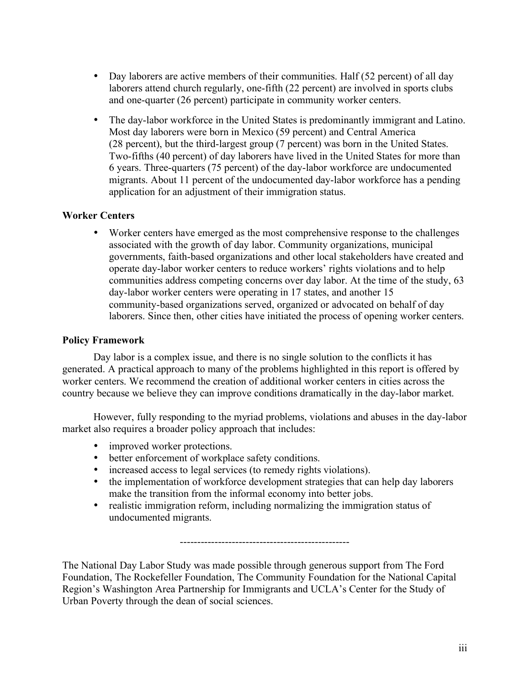- Day laborers are active members of their communities. Half (52 percent) of all day laborers attend church regularly, one-fifth (22 percent) are involved in sports clubs and one-quarter (26 percent) participate in community worker centers.
- The day-labor workforce in the United States is predominantly immigrant and Latino. Most day laborers were born in Mexico (59 percent) and Central America (28 percent), but the third-largest group (7 percent) was born in the United States. Two-fifths (40 percent) of day laborers have lived in the United States for more than 6 years. Three-quarters (75 percent) of the day-labor workforce are undocumented migrants. About 11 percent of the undocumented day-labor workforce has a pending application for an adjustment of their immigration status.

### **Worker Centers**

• Worker centers have emerged as the most comprehensive response to the challenges associated with the growth of day labor. Community organizations, municipal governments, faith-based organizations and other local stakeholders have created and operate day-labor worker centers to reduce workers' rights violations and to help communities address competing concerns over day labor. At the time of the study, 63 day-labor worker centers were operating in 17 states, and another 15 community-based organizations served, organized or advocated on behalf of day laborers. Since then, other cities have initiated the process of opening worker centers.

### **Policy Framework**

Day labor is a complex issue, and there is no single solution to the conflicts it has generated. A practical approach to many of the problems highlighted in this report is offered by worker centers. We recommend the creation of additional worker centers in cities across the country because we believe they can improve conditions dramatically in the day-labor market.

However, fully responding to the myriad problems, violations and abuses in the day-labor market also requires a broader policy approach that includes:

- improved worker protections.
- better enforcement of workplace safety conditions.
- increased access to legal services (to remedy rights violations).
- the implementation of workforce development strategies that can help day laborers make the transition from the informal economy into better jobs.
- realistic immigration reform, including normalizing the immigration status of undocumented migrants.

-------------------------------------------------

The National Day Labor Study was made possible through generous support from The Ford Foundation, The Rockefeller Foundation, The Community Foundation for the National Capital Region's Washington Area Partnership for Immigrants and UCLA's Center for the Study of Urban Poverty through the dean of social sciences.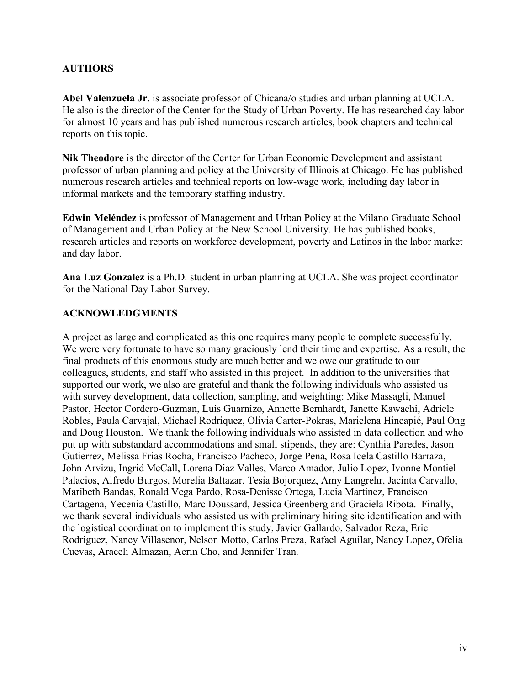### **AUTHORS**

**Abel Valenzuela Jr.** is associate professor of Chicana/o studies and urban planning at UCLA. He also is the director of the Center for the Study of Urban Poverty. He has researched day labor for almost 10 years and has published numerous research articles, book chapters and technical reports on this topic.

**Nik Theodore** is the director of the Center for Urban Economic Development and assistant professor of urban planning and policy at the University of Illinois at Chicago. He has published numerous research articles and technical reports on low-wage work, including day labor in informal markets and the temporary staffing industry.

**Edwin Meléndez** is professor of Management and Urban Policy at the Milano Graduate School of Management and Urban Policy at the New School University. He has published books, research articles and reports on workforce development, poverty and Latinos in the labor market and day labor.

**Ana Luz Gonzalez** is a Ph.D. student in urban planning at UCLA. She was project coordinator for the National Day Labor Survey.

### **ACKNOWLEDGMENTS**

A project as large and complicated as this one requires many people to complete successfully. We were very fortunate to have so many graciously lend their time and expertise. As a result, the final products of this enormous study are much better and we owe our gratitude to our colleagues, students, and staff who assisted in this project. In addition to the universities that supported our work, we also are grateful and thank the following individuals who assisted us with survey development, data collection, sampling, and weighting: Mike Massagli, Manuel Pastor, Hector Cordero-Guzman, Luis Guarnizo, Annette Bernhardt, Janette Kawachi, Adriele Robles, Paula Carvajal, Michael Rodriquez, Olivia Carter-Pokras, Marielena Hincapié, Paul Ong and Doug Houston. We thank the following individuals who assisted in data collection and who put up with substandard accommodations and small stipends, they are: Cynthia Paredes, Jason Gutierrez, Melissa Frias Rocha, Francisco Pacheco, Jorge Pena, Rosa Icela Castillo Barraza, John Arvizu, Ingrid McCall, Lorena Diaz Valles, Marco Amador, Julio Lopez, Ivonne Montiel Palacios, Alfredo Burgos, Morelia Baltazar, Tesia Bojorquez, Amy Langrehr, Jacinta Carvallo, Maribeth Bandas, Ronald Vega Pardo, Rosa-Denisse Ortega, Lucia Martinez, Francisco Cartagena, Yecenia Castillo, Marc Doussard, Jessica Greenberg and Graciela Ribota. Finally, we thank several individuals who assisted us with preliminary hiring site identification and with the logistical coordination to implement this study, Javier Gallardo, Salvador Reza, Eric Rodriguez, Nancy Villasenor, Nelson Motto, Carlos Preza, Rafael Aguilar, Nancy Lopez, Ofelia Cuevas, Araceli Almazan, Aerin Cho, and Jennifer Tran.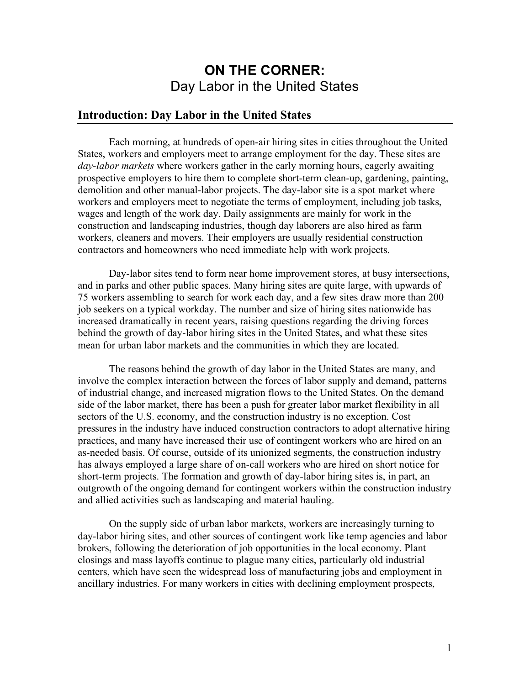# **ON THE CORNER:** Day Labor in the United States

### **Introduction: Day Labor in the United States**

Each morning, at hundreds of open-air hiring sites in cities throughout the United States, workers and employers meet to arrange employment for the day. These sites are *day-labor markets* where workers gather in the early morning hours, eagerly awaiting prospective employers to hire them to complete short-term clean-up, gardening, painting, demolition and other manual-labor projects. The day-labor site is a spot market where workers and employers meet to negotiate the terms of employment, including job tasks, wages and length of the work day. Daily assignments are mainly for work in the construction and landscaping industries, though day laborers are also hired as farm workers, cleaners and movers. Their employers are usually residential construction contractors and homeowners who need immediate help with work projects.

Day-labor sites tend to form near home improvement stores, at busy intersections, and in parks and other public spaces. Many hiring sites are quite large, with upwards of 75 workers assembling to search for work each day, and a few sites draw more than 200 job seekers on a typical workday. The number and size of hiring sites nationwide has increased dramatically in recent years, raising questions regarding the driving forces behind the growth of day-labor hiring sites in the United States, and what these sites mean for urban labor markets and the communities in which they are located.

The reasons behind the growth of day labor in the United States are many, and involve the complex interaction between the forces of labor supply and demand, patterns of industrial change, and increased migration flows to the United States. On the demand side of the labor market, there has been a push for greater labor market flexibility in all sectors of the U.S. economy, and the construction industry is no exception. Cost pressures in the industry have induced construction contractors to adopt alternative hiring practices, and many have increased their use of contingent workers who are hired on an as-needed basis. Of course, outside of its unionized segments, the construction industry has always employed a large share of on-call workers who are hired on short notice for short-term projects. The formation and growth of day-labor hiring sites is, in part, an outgrowth of the ongoing demand for contingent workers within the construction industry and allied activities such as landscaping and material hauling.

On the supply side of urban labor markets, workers are increasingly turning to day-labor hiring sites, and other sources of contingent work like temp agencies and labor brokers, following the deterioration of job opportunities in the local economy. Plant closings and mass layoffs continue to plague many cities, particularly old industrial centers, which have seen the widespread loss of manufacturing jobs and employment in ancillary industries. For many workers in cities with declining employment prospects,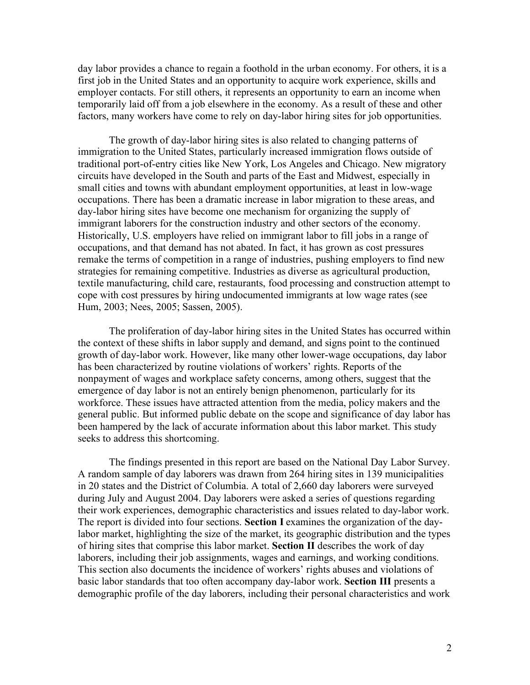day labor provides a chance to regain a foothold in the urban economy. For others, it is a first job in the United States and an opportunity to acquire work experience, skills and employer contacts. For still others, it represents an opportunity to earn an income when temporarily laid off from a job elsewhere in the economy. As a result of these and other factors, many workers have come to rely on day-labor hiring sites for job opportunities.

The growth of day-labor hiring sites is also related to changing patterns of immigration to the United States, particularly increased immigration flows outside of traditional port-of-entry cities like New York, Los Angeles and Chicago. New migratory circuits have developed in the South and parts of the East and Midwest, especially in small cities and towns with abundant employment opportunities, at least in low-wage occupations. There has been a dramatic increase in labor migration to these areas, and day-labor hiring sites have become one mechanism for organizing the supply of immigrant laborers for the construction industry and other sectors of the economy. Historically, U.S. employers have relied on immigrant labor to fill jobs in a range of occupations, and that demand has not abated. In fact, it has grown as cost pressures remake the terms of competition in a range of industries, pushing employers to find new strategies for remaining competitive. Industries as diverse as agricultural production, textile manufacturing, child care, restaurants, food processing and construction attempt to cope with cost pressures by hiring undocumented immigrants at low wage rates (see Hum, 2003; Nees, 2005; Sassen, 2005).

The proliferation of day-labor hiring sites in the United States has occurred within the context of these shifts in labor supply and demand, and signs point to the continued growth of day-labor work. However, like many other lower-wage occupations, day labor has been characterized by routine violations of workers' rights. Reports of the nonpayment of wages and workplace safety concerns, among others, suggest that the emergence of day labor is not an entirely benign phenomenon, particularly for its workforce. These issues have attracted attention from the media, policy makers and the general public. But informed public debate on the scope and significance of day labor has been hampered by the lack of accurate information about this labor market. This study seeks to address this shortcoming.

The findings presented in this report are based on the National Day Labor Survey. A random sample of day laborers was drawn from 264 hiring sites in 139 municipalities in 20 states and the District of Columbia. A total of 2,660 day laborers were surveyed during July and August 2004. Day laborers were asked a series of questions regarding their work experiences, demographic characteristics and issues related to day-labor work. The report is divided into four sections. **Section I** examines the organization of the daylabor market, highlighting the size of the market, its geographic distribution and the types of hiring sites that comprise this labor market. **Section II** describes the work of day laborers, including their job assignments, wages and earnings, and working conditions. This section also documents the incidence of workers' rights abuses and violations of basic labor standards that too often accompany day-labor work. **Section III** presents a demographic profile of the day laborers, including their personal characteristics and work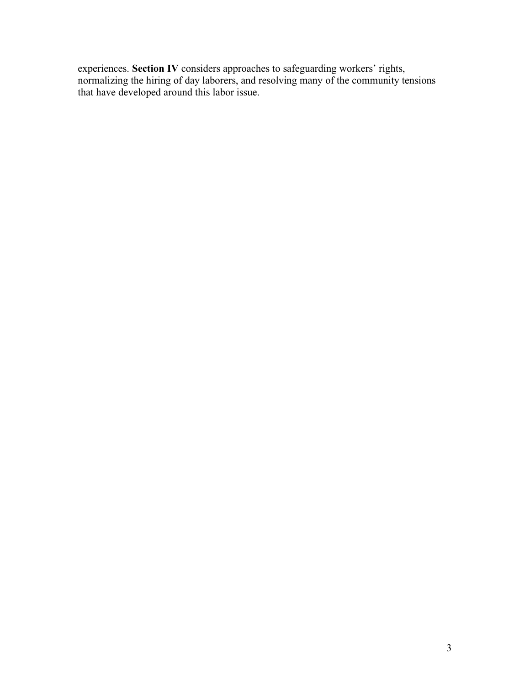experiences. **Section IV** considers approaches to safeguarding workers' rights, normalizing the hiring of day laborers, and resolving many of the community tensions that have developed around this labor issue.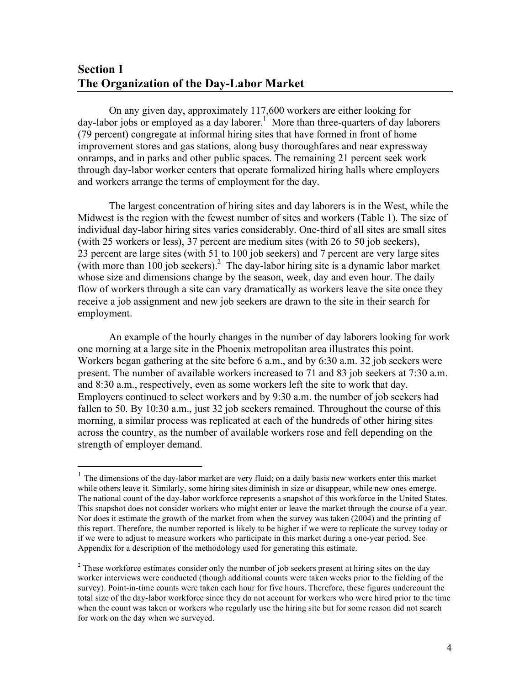# **Section I The Organization of the Day-Labor Market**

On any given day, approximately 117,600 workers are either looking for day-labor jobs or employed as a day laborer. <sup>1</sup> More than three-quarters of day laborers (79 percent) congregate at informal hiring sites that have formed in front of home improvement stores and gas stations, along busy thoroughfares and near expressway onramps, and in parks and other public spaces. The remaining 21 percent seek work through day-labor worker centers that operate formalized hiring halls where employers and workers arrange the terms of employment for the day.

The largest concentration of hiring sites and day laborers is in the West, while the Midwest is the region with the fewest number of sites and workers (Table 1). The size of individual day-labor hiring sites varies considerably. One-third of all sites are small sites (with 25 workers or less), 37 percent are medium sites (with 26 to 50 job seekers), 23 percent are large sites (with 51 to 100 job seekers) and 7 percent are very large sites (with more than 100 job seekers). <sup>2</sup> The day-labor hiring site is a dynamic labor market whose size and dimensions change by the season, week, day and even hour. The daily flow of workers through a site can vary dramatically as workers leave the site once they receive a job assignment and new job seekers are drawn to the site in their search for employment.

An example of the hourly changes in the number of day laborers looking for work one morning at a large site in the Phoenix metropolitan area illustrates this point. Workers began gathering at the site before 6 a.m., and by 6:30 a.m. 32 job seekers were present. The number of available workers increased to 71 and 83 job seekers at 7:30 a.m. and 8:30 a.m., respectively, even as some workers left the site to work that day. Employers continued to select workers and by 9:30 a.m. the number of job seekers had fallen to 50. By 10:30 a.m., just 32 job seekers remained. Throughout the course of this morning, a similar process was replicated at each of the hundreds of other hiring sites across the country, as the number of available workers rose and fell depending on the strength of employer demand.

 $1$  The dimensions of the day-labor market are very fluid; on a daily basis new workers enter this market while others leave it. Similarly, some hiring sites diminish in size or disappear, while new ones emerge. The national count of the day-labor workforce represents a snapshot of this workforce in the United States. This snapshot does not consider workers who might enter or leave the market through the course of a year. Nor does it estimate the growth of the market from when the survey was taken (2004) and the printing of this report. Therefore, the number reported is likely to be higher if we were to replicate the survey today or if we were to adjust to measure workers who participate in this market during a one-year period. See Appendix for a description of the methodology used for generating this estimate.

 $2$  These workforce estimates consider only the number of job seekers present at hiring sites on the day worker interviews were conducted (though additional counts were taken weeks prior to the fielding of the survey). Point-in-time counts were taken each hour for five hours. Therefore, these figures undercount the total size of the day-labor workforce since they do not account for workers who were hired prior to the time when the count was taken or workers who regularly use the hiring site but for some reason did not search for work on the day when we surveyed.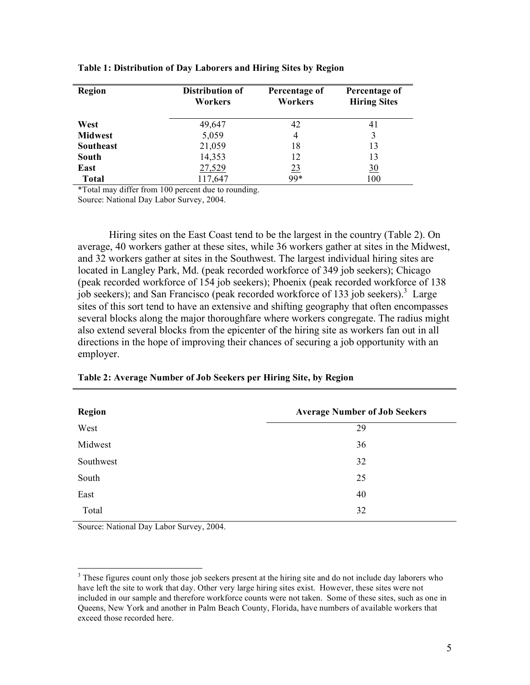| Region           | Distribution of<br>Workers | Percentage of<br>Workers | Percentage of<br><b>Hiring Sites</b> |
|------------------|----------------------------|--------------------------|--------------------------------------|
| West             | 49,647                     | 42                       | 41                                   |
| <b>Midwest</b>   | 5,059                      | 4                        | 3                                    |
| <b>Southeast</b> | 21,059                     | 18                       | 13                                   |
| South            | 14,353                     | 12                       | 13                                   |
| East             | 27,529                     | 23                       | $\frac{30}{2}$                       |
| <b>Total</b>     | 117,647                    | 99*                      | 100                                  |

#### **Table 1: Distribution of Day Laborers and Hiring Sites by Region**

\*Total may differ from 100 percent due to rounding.

Source: National Day Labor Survey, 2004.

Hiring sites on the East Coast tend to be the largest in the country (Table 2). On average, 40 workers gather at these sites, while 36 workers gather at sites in the Midwest, and 32 workers gather at sites in the Southwest. The largest individual hiring sites are located in Langley Park, Md. (peak recorded workforce of 349 job seekers); Chicago (peak recorded workforce of 154 job seekers); Phoenix (peak recorded workforce of 138 job seekers); and San Francisco (peak recorded workforce of 133 job seekers).<sup>3</sup> Large sites of this sort tend to have an extensive and shifting geography that often encompasses several blocks along the major thoroughfare where workers congregate. The radius might also extend several blocks from the epicenter of the hiring site as workers fan out in all directions in the hope of improving their chances of securing a job opportunity with an employer.

| <b>Region</b> | <b>Average Number of Job Seekers</b> |
|---------------|--------------------------------------|
| West          | 29                                   |
| Midwest       | 36                                   |
| Southwest     | 32                                   |
| South         | 25                                   |
| East          | 40                                   |
| Total         | 32                                   |

| Table 2: Average Number of Job Seekers per Hiring Site, by Region |  |  |  |
|-------------------------------------------------------------------|--|--|--|
|                                                                   |  |  |  |

Source: National Day Labor Survey, 2004.

<sup>&</sup>lt;sup>3</sup> These figures count only those job seekers present at the hiring site and do not include day laborers who have left the site to work that day. Other very large hiring sites exist. However, these sites were not included in our sample and therefore workforce counts were not taken. Some of these sites, such as one in Queens, New York and another in Palm Beach County, Florida, have numbers of available workers that exceed those recorded here.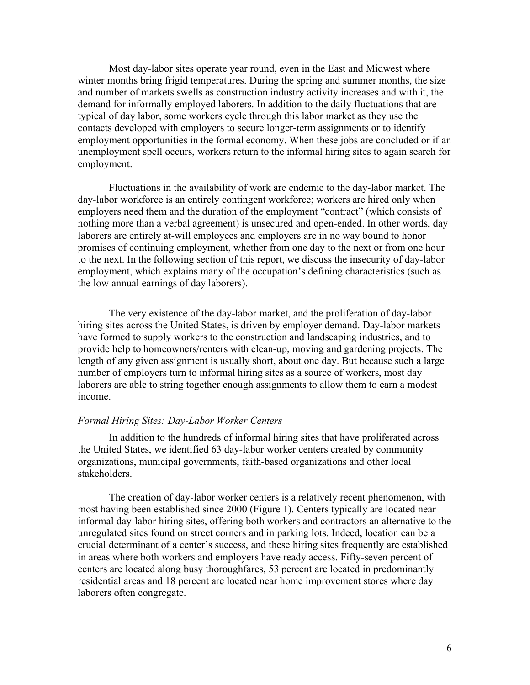Most day-labor sites operate year round, even in the East and Midwest where winter months bring frigid temperatures. During the spring and summer months, the size and number of markets swells as construction industry activity increases and with it, the demand for informally employed laborers. In addition to the daily fluctuations that are typical of day labor, some workers cycle through this labor market as they use the contacts developed with employers to secure longer-term assignments or to identify employment opportunities in the formal economy. When these jobs are concluded or if an unemployment spell occurs, workers return to the informal hiring sites to again search for employment.

Fluctuations in the availability of work are endemic to the day-labor market. The day-labor workforce is an entirely contingent workforce; workers are hired only when employers need them and the duration of the employment "contract" (which consists of nothing more than a verbal agreement) is unsecured and open-ended. In other words, day laborers are entirely at-will employees and employers are in no way bound to honor promises of continuing employment, whether from one day to the next or from one hour to the next. In the following section of this report, we discuss the insecurity of day-labor employment, which explains many of the occupation's defining characteristics (such as the low annual earnings of day laborers).

The very existence of the day-labor market, and the proliferation of day-labor hiring sites across the United States, is driven by employer demand. Day-labor markets have formed to supply workers to the construction and landscaping industries, and to provide help to homeowners/renters with clean-up, moving and gardening projects. The length of any given assignment is usually short, about one day. But because such a large number of employers turn to informal hiring sites as a source of workers, most day laborers are able to string together enough assignments to allow them to earn a modest income.

#### *Formal Hiring Sites: Day-Labor Worker Centers*

In addition to the hundreds of informal hiring sites that have proliferated across the United States, we identified 63 day-labor worker centers created by community organizations, municipal governments, faith-based organizations and other local stakeholders.

The creation of day-labor worker centers is a relatively recent phenomenon, with most having been established since 2000 (Figure 1). Centers typically are located near informal day-labor hiring sites, offering both workers and contractors an alternative to the unregulated sites found on street corners and in parking lots. Indeed, location can be a crucial determinant of a center's success, and these hiring sites frequently are established in areas where both workers and employers have ready access. Fifty-seven percent of centers are located along busy thoroughfares, 53 percent are located in predominantly residential areas and 18 percent are located near home improvement stores where day laborers often congregate.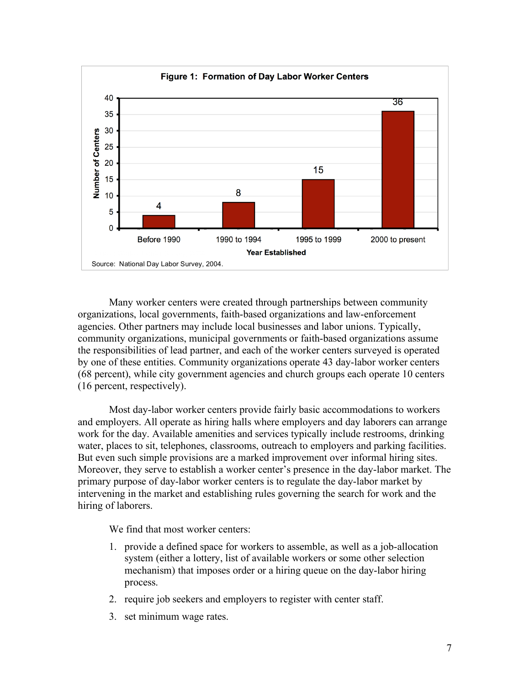

Many worker centers were created through partnerships between community organizations, local governments, faith-based organizations and law-enforcement agencies. Other partners may include local businesses and labor unions. Typically, community organizations, municipal governments or faith-based organizations assume the responsibilities of lead partner, and each of the worker centers surveyed is operated by one of these entities. Community organizations operate 43 day-labor worker centers (68 percent), while city government agencies and church groups each operate 10 centers (16 percent, respectively).

Most day-labor worker centers provide fairly basic accommodations to workers and employers. All operate as hiring halls where employers and day laborers can arrange work for the day. Available amenities and services typically include restrooms, drinking water, places to sit, telephones, classrooms, outreach to employers and parking facilities. But even such simple provisions are a marked improvement over informal hiring sites. Moreover, they serve to establish a worker center's presence in the day-labor market. The primary purpose of day-labor worker centers is to regulate the day-labor market by intervening in the market and establishing rules governing the search for work and the hiring of laborers.

We find that most worker centers:

- 1. provide a defined space for workers to assemble, as well as a job-allocation system (either a lottery, list of available workers or some other selection mechanism) that imposes order or a hiring queue on the day-labor hiring process.
- 2. require job seekers and employers to register with center staff.
- 3. set minimum wage rates.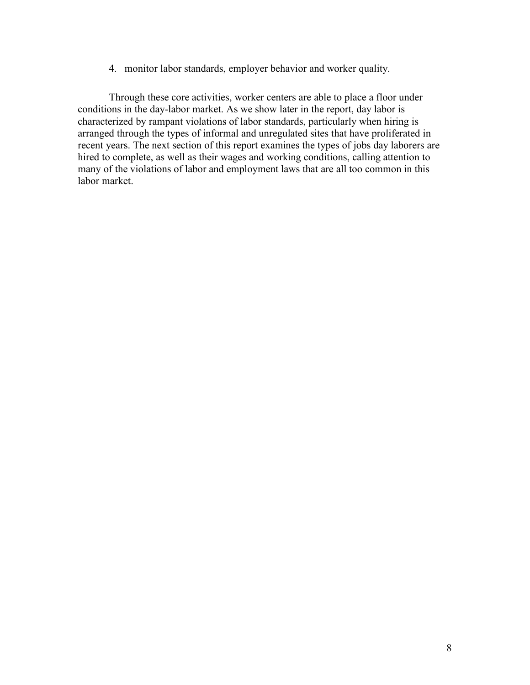4. monitor labor standards, employer behavior and worker quality.

Through these core activities, worker centers are able to place a floor under conditions in the day-labor market. As we show later in the report, day labor is characterized by rampant violations of labor standards, particularly when hiring is arranged through the types of informal and unregulated sites that have proliferated in recent years. The next section of this report examines the types of jobs day laborers are hired to complete, as well as their wages and working conditions, calling attention to many of the violations of labor and employment laws that are all too common in this labor market.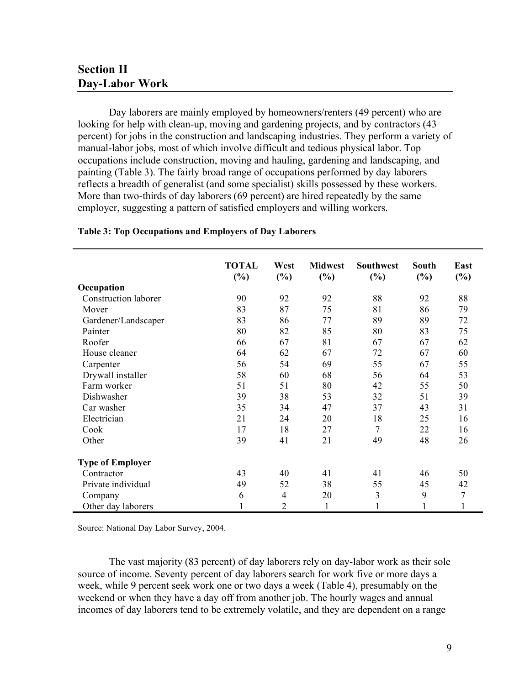## **Section II Day-Labor Work**

Day laborers are mainly employed by homeowners/renters (49 percent) who are looking for help with clean-up, moving and gardening projects, and by contractors (43 percent) for jobs in the construction and landscaping industries. They perform a variety of manual-labor jobs, most of which involve difficult and tedious physical labor. Top occupations include construction, moving and hauling, gardening and landscaping, and painting (Table 3). The fairly broad range of occupations performed by day laborers reflects a breadth of generalist (and some specialist) skills possessed by these workers. More than two-thirds of day laborers (69 percent) are hired repeatedly by the same employer, suggesting a pattern of satisfied employers and willing workers.

|                         | <b>TOTAL</b> | West           | <b>Midwest</b> | <b>Southwest</b> | <b>South</b> | East           |
|-------------------------|--------------|----------------|----------------|------------------|--------------|----------------|
|                         | (%)          | (%)            | (%)            | (%)              | $(\%)$       | $(\%)$         |
| Occupation              |              |                |                |                  |              |                |
| Construction laborer    | 90           | 92             | 92             | 88               | 92           | 88             |
| Mover                   | 83           | 87             | 75             | 81               | 86           | 79             |
| Gardener/Landscaper     | 83           | 86             | 77             | 89               | 89           | 72             |
| Painter                 | 80           | 82             | 85             | 80               | 83           | 75             |
| Roofer                  | 66           | 67             | 81             | 67               | 67           | 62             |
| House cleaner           | 64           | 62             | 67             | 72               | 67           | 60             |
| Carpenter               | 56           | 54             | 69             | 55               | 67           | 55             |
| Drywall installer       | 58           | 60             | 68             | 56               | 64           | 53             |
| Farm worker             | 51           | 51             | 80             | 42               | 55           | 50             |
| Dishwasher              | 39           | 38             | 53             | 32               | 51           | 39             |
| Car washer              | 35           | 34             | 47             | 37               | 43           | 31             |
| Electrician             | 21           | 24             | 20             | 18               | 25           | 16             |
| Cook                    | 17           | 18             | 27             | $\overline{7}$   | 22           | 16             |
| Other                   | 39           | 41             | 21             | 49               | 48           | 26             |
| <b>Type of Employer</b> |              |                |                |                  |              |                |
| Contractor              | 43           | 40             | 41             | 41               | 46           | 50             |
| Private individual      | 49           | 52             | 38             | 55               | 45           | 42             |
| Company                 | 6            | $\overline{4}$ | 20             | $\mathfrak{Z}$   | 9            | $\overline{7}$ |
| Other day laborers      | $\mathbf{1}$ | $\overline{2}$ | $\mathbf{1}$   |                  | $\mathbf{1}$ |                |

#### **Table 3: Top Occupations and Employers of Day Laborers**

Source: National Day Labor Survey, 2004.

The vast majority (83 percent) of day laborers rely on day-labor work as their sole source of income. Seventy percent of day laborers search for work five or more days a week, while 9 percent seek work one or two days a week (Table 4), presumably on the weekend or when they have a day off from another job. The hourly wages and annual incomes of day laborers tend to be extremely volatile, and they are dependent on a range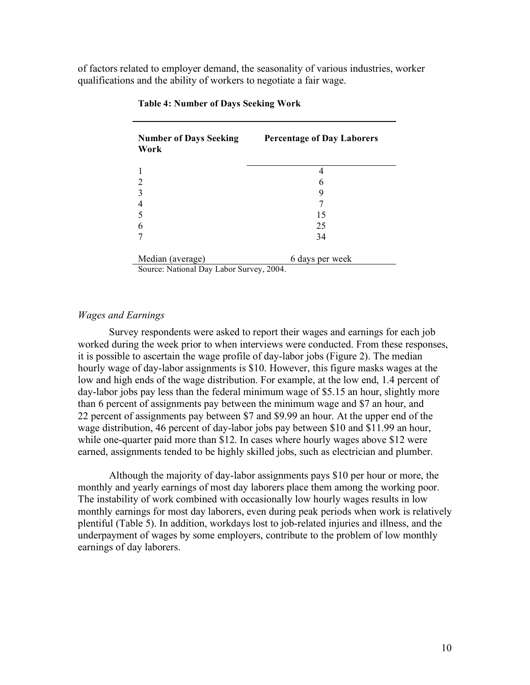of factors related to employer demand, the seasonality of various industries, worker qualifications and the ability of workers to negotiate a fair wage.

| <b>Number of Days Seeking</b><br>Work | <b>Percentage of Day Laborers</b> |  |  |
|---------------------------------------|-----------------------------------|--|--|
|                                       |                                   |  |  |
| $\overline{c}$                        | h                                 |  |  |
| 3                                     | 9                                 |  |  |
|                                       |                                   |  |  |
|                                       | 15                                |  |  |
| 6                                     | 25                                |  |  |
|                                       | 34                                |  |  |
| Median (average)                      | 6 days per week                   |  |  |

#### **Table 4: Number of Days Seeking Work**

Source: National Day Labor Survey, 2004.

#### *Wages and Earnings*

Survey respondents were asked to report their wages and earnings for each job worked during the week prior to when interviews were conducted. From these responses, it is possible to ascertain the wage profile of day-labor jobs (Figure 2). The median hourly wage of day-labor assignments is \$10. However, this figure masks wages at the low and high ends of the wage distribution. For example, at the low end, 1.4 percent of day-labor jobs pay less than the federal minimum wage of \$5.15 an hour, slightly more than 6 percent of assignments pay between the minimum wage and \$7 an hour, and 22 percent of assignments pay between \$7 and \$9.99 an hour. At the upper end of the wage distribution, 46 percent of day-labor jobs pay between \$10 and \$11.99 an hour, while one-quarter paid more than \$12. In cases where hourly wages above \$12 were earned, assignments tended to be highly skilled jobs, such as electrician and plumber.

Although the majority of day-labor assignments pays \$10 per hour or more, the monthly and yearly earnings of most day laborers place them among the working poor. The instability of work combined with occasionally low hourly wages results in low monthly earnings for most day laborers, even during peak periods when work is relatively plentiful (Table 5). In addition, workdays lost to job-related injuries and illness, and the underpayment of wages by some employers, contribute to the problem of low monthly earnings of day laborers.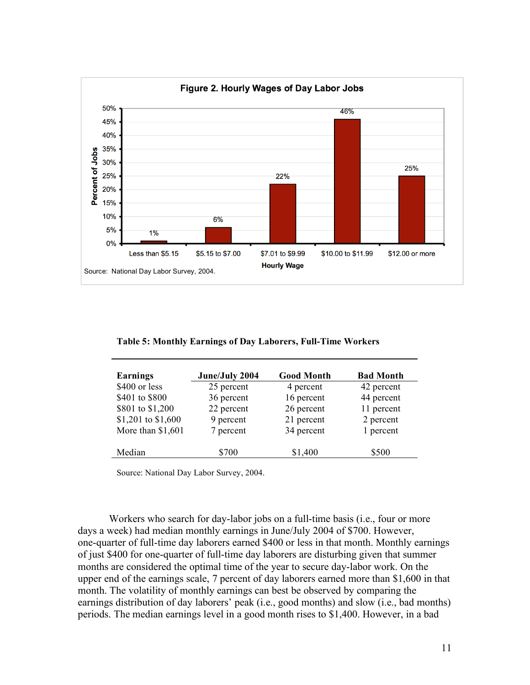

**Table 5: Monthly Earnings of Day Laborers, Full-Time Workers**

| Earnings           | June/July 2004 | <b>Good Month</b> | <b>Bad Month</b> |
|--------------------|----------------|-------------------|------------------|
| \$400 or less      | 25 percent     | 4 percent         | 42 percent       |
| \$401 to \$800     | 36 percent     | 16 percent        | 44 percent       |
| \$801 to \$1,200   | 22 percent     | 26 percent        | 11 percent       |
| \$1,201 to \$1,600 | 9 percent      | 21 percent        | 2 percent        |
| More than \$1,601  | 7 percent      | 34 percent        | 1 percent        |
| Median             | \$700          | \$1,400           | \$500            |

Source: National Day Labor Survey, 2004.

Workers who search for day-labor jobs on a full-time basis (i.e., four or more days a week) had median monthly earnings in June/July 2004 of \$700. However, one-quarter of full-time day laborers earned \$400 or less in that month. Monthly earnings of just \$400 for one-quarter of full-time day laborers are disturbing given that summer months are considered the optimal time of the year to secure day-labor work. On the upper end of the earnings scale, 7 percent of day laborers earned more than \$1,600 in that month. The volatility of monthly earnings can best be observed by comparing the earnings distribution of day laborers' peak (i.e., good months) and slow (i.e., bad months) periods. The median earnings level in a good month rises to \$1,400. However, in a bad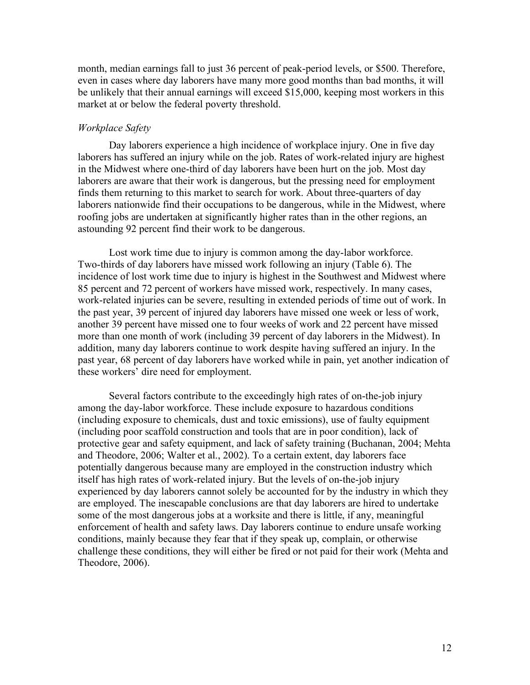month, median earnings fall to just 36 percent of peak-period levels, or \$500. Therefore, even in cases where day laborers have many more good months than bad months, it will be unlikely that their annual earnings will exceed \$15,000, keeping most workers in this market at or below the federal poverty threshold.

#### *Workplace Safety*

Day laborers experience a high incidence of workplace injury. One in five day laborers has suffered an injury while on the job. Rates of work-related injury are highest in the Midwest where one-third of day laborers have been hurt on the job. Most day laborers are aware that their work is dangerous, but the pressing need for employment finds them returning to this market to search for work. About three-quarters of day laborers nationwide find their occupations to be dangerous, while in the Midwest, where roofing jobs are undertaken at significantly higher rates than in the other regions, an astounding 92 percent find their work to be dangerous.

Lost work time due to injury is common among the day-labor workforce. Two-thirds of day laborers have missed work following an injury (Table 6). The incidence of lost work time due to injury is highest in the Southwest and Midwest where 85 percent and 72 percent of workers have missed work, respectively. In many cases, work-related injuries can be severe, resulting in extended periods of time out of work. In the past year, 39 percent of injured day laborers have missed one week or less of work, another 39 percent have missed one to four weeks of work and 22 percent have missed more than one month of work (including 39 percent of day laborers in the Midwest). In addition, many day laborers continue to work despite having suffered an injury. In the past year, 68 percent of day laborers have worked while in pain, yet another indication of these workers' dire need for employment.

Several factors contribute to the exceedingly high rates of on-the-job injury among the day-labor workforce. These include exposure to hazardous conditions (including exposure to chemicals, dust and toxic emissions), use of faulty equipment (including poor scaffold construction and tools that are in poor condition), lack of protective gear and safety equipment, and lack of safety training (Buchanan, 2004; Mehta and Theodore, 2006; Walter et al., 2002). To a certain extent, day laborers face potentially dangerous because many are employed in the construction industry which itself has high rates of work-related injury. But the levels of on-the-job injury experienced by day laborers cannot solely be accounted for by the industry in which they are employed. The inescapable conclusions are that day laborers are hired to undertake some of the most dangerous jobs at a worksite and there is little, if any, meaningful enforcement of health and safety laws. Day laborers continue to endure unsafe working conditions, mainly because they fear that if they speak up, complain, or otherwise challenge these conditions, they will either be fired or not paid for their work (Mehta and Theodore, 2006).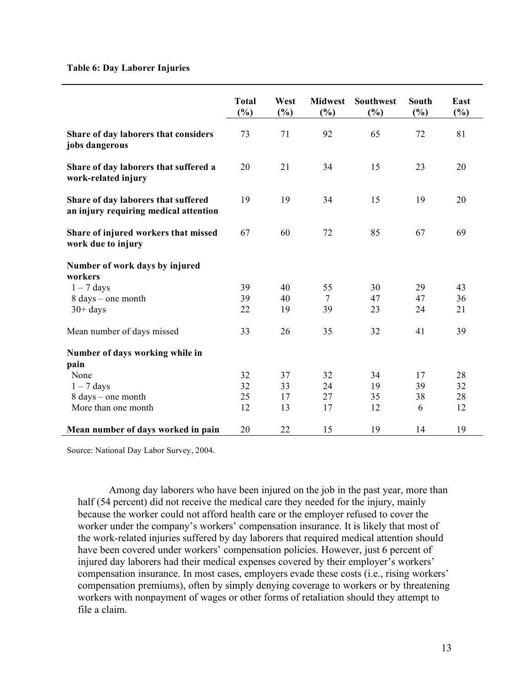#### **Table 6: Day Laborer Injuries**

|                                                                              | <b>Total</b><br>(%) | West<br>(%) | <b>Midwest</b><br>(%) | Southwest<br>(%) | South<br>(%) | East<br>(%) |
|------------------------------------------------------------------------------|---------------------|-------------|-----------------------|------------------|--------------|-------------|
| Share of day laborers that considers<br>jobs dangerous                       | 73                  | 71          | 92                    | 65               | 72           | 81          |
| Share of day laborers that suffered a<br>work-related injury                 | 20                  | 21          | 34                    | 15               | 23           | 20          |
| Share of day laborers that suffered<br>an injury requiring medical attention | 19                  | 19          | 34                    | 15               | 19           | 20          |
| Share of injured workers that missed<br>work due to injury                   | 67                  | 60          | 72                    | 85               | 67           | 69          |
| Number of work days by injured                                               |                     |             |                       |                  |              |             |
| workers<br>$1 - 7$ days                                                      | 39                  | 40          | 55                    | 30               | 29           | 43          |
| $8 \text{ days}$ – one month                                                 | 39                  | 40          | 7                     | 47               | 47           | 36          |
| $30+$ days                                                                   | 22                  | 19          | 39                    | 23               | 24           | 21          |
| Mean number of days missed                                                   | 33                  | 26          | 35                    | 32               | 41           | 39          |
| Number of days working while in                                              |                     |             |                       |                  |              |             |
| pain                                                                         |                     |             |                       |                  |              |             |
| None                                                                         | 32                  | 37          | 32                    | 34               | 17           | 28          |
| $1 - 7$ days                                                                 | 32                  | 33          | 24                    | 19               | 39           | 32          |
| 8 days – one month                                                           | 25                  | 17          | 27                    | 35               | 38           | 28          |
| More than one month                                                          | 12                  | 13          | 17                    | 12               | 6            | 12          |
| Mean number of days worked in pain                                           | 20                  | 22          | 15                    | 19               | 14           | 19          |

Source: National Day Labor Survey, 2004.

Among day laborers who have been injured on the job in the past year, more than half (54 percent) did not receive the medical care they needed for the injury, mainly because the worker could not afford health care or the employer refused to cover the worker under the company's workers' compensation insurance. It is likely that most of the work-related injuries suffered by day laborers that required medical attention should have been covered under workers' compensation policies. However, just 6 percent of injured day laborers had their medical expenses covered by their employer's workers' compensation insurance. In most cases, employers evade these costs (i.e., rising workers' compensation premiums), often by simply denying coverage to workers or by threatening workers with nonpayment of wages or other forms of retaliation should they attempt to file a claim.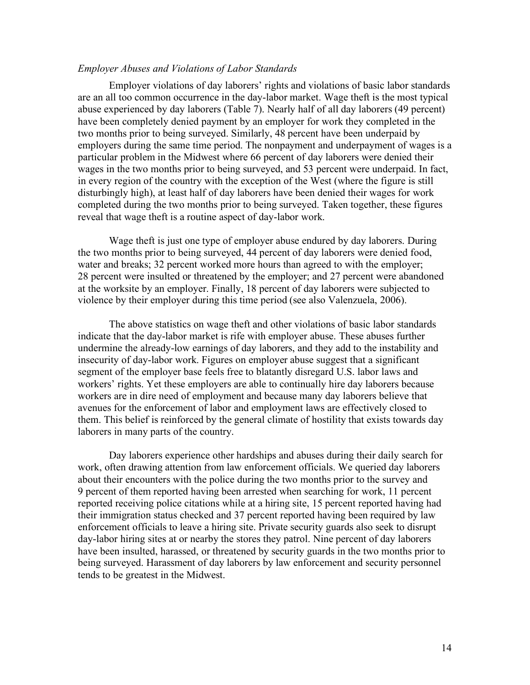#### *Employer Abuses and Violations of Labor Standards*

Employer violations of day laborers' rights and violations of basic labor standards are an all too common occurrence in the day-labor market. Wage theft is the most typical abuse experienced by day laborers (Table 7). Nearly half of all day laborers (49 percent) have been completely denied payment by an employer for work they completed in the two months prior to being surveyed. Similarly, 48 percent have been underpaid by employers during the same time period. The nonpayment and underpayment of wages is a particular problem in the Midwest where 66 percent of day laborers were denied their wages in the two months prior to being surveyed, and 53 percent were underpaid. In fact, in every region of the country with the exception of the West (where the figure is still disturbingly high), at least half of day laborers have been denied their wages for work completed during the two months prior to being surveyed. Taken together, these figures reveal that wage theft is a routine aspect of day-labor work.

Wage theft is just one type of employer abuse endured by day laborers. During the two months prior to being surveyed, 44 percent of day laborers were denied food, water and breaks; 32 percent worked more hours than agreed to with the employer; 28 percent were insulted or threatened by the employer; and 27 percent were abandoned at the worksite by an employer. Finally, 18 percent of day laborers were subjected to violence by their employer during this time period (see also Valenzuela, 2006).

The above statistics on wage theft and other violations of basic labor standards indicate that the day-labor market is rife with employer abuse. These abuses further undermine the already-low earnings of day laborers, and they add to the instability and insecurity of day-labor work. Figures on employer abuse suggest that a significant segment of the employer base feels free to blatantly disregard U.S. labor laws and workers' rights. Yet these employers are able to continually hire day laborers because workers are in dire need of employment and because many day laborers believe that avenues for the enforcement of labor and employment laws are effectively closed to them. This belief is reinforced by the general climate of hostility that exists towards day laborers in many parts of the country.

Day laborers experience other hardships and abuses during their daily search for work, often drawing attention from law enforcement officials. We queried day laborers about their encounters with the police during the two months prior to the survey and 9 percent of them reported having been arrested when searching for work, 11 percent reported receiving police citations while at a hiring site, 15 percent reported having had their immigration status checked and 37 percent reported having been required by law enforcement officials to leave a hiring site. Private security guards also seek to disrupt day-labor hiring sites at or nearby the stores they patrol. Nine percent of day laborers have been insulted, harassed, or threatened by security guards in the two months prior to being surveyed. Harassment of day laborers by law enforcement and security personnel tends to be greatest in the Midwest.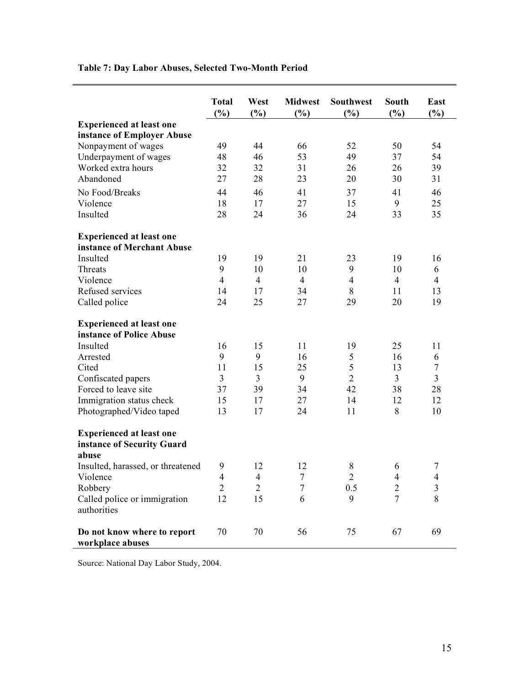|                                                                        | <b>Total</b><br>(%) | West<br>(%)    | <b>Midwest</b><br>(%) | <b>Southwest</b><br>(%) | South<br>$(\%)$ | East<br>(%)    |
|------------------------------------------------------------------------|---------------------|----------------|-----------------------|-------------------------|-----------------|----------------|
| <b>Experienced at least one</b>                                        |                     |                |                       |                         |                 |                |
| instance of Employer Abuse                                             |                     |                |                       |                         |                 |                |
| Nonpayment of wages                                                    | 49                  | 44             | 66                    | 52                      | 50              | 54             |
| Underpayment of wages                                                  | 48                  | 46             | 53                    | 49                      | 37              | 54             |
| Worked extra hours                                                     | 32                  | 32             | 31                    | 26                      | 26              | 39             |
| Abandoned                                                              | 27                  | 28             | 23                    | 20                      | 30              | 31             |
| No Food/Breaks                                                         | 44                  | 46             | 41                    | 37                      | 41              | 46             |
| Violence                                                               | 18                  | 17             | 27                    | 15                      | 9               | 25             |
| Insulted                                                               | 28                  | 24             | 36                    | 24                      | 33              | 35             |
| <b>Experienced at least one</b>                                        |                     |                |                       |                         |                 |                |
| instance of Merchant Abuse                                             |                     |                |                       |                         |                 |                |
| Insulted                                                               | 19                  | 19             | 21                    | 23                      | 19              | 16             |
| Threats                                                                | 9                   | 10             | 10                    | 9                       | 10              | 6              |
| Violence                                                               | $\overline{4}$      | $\overline{4}$ | $\overline{4}$        | $\overline{4}$          | $\overline{4}$  | $\overline{4}$ |
| Refused services                                                       | 14                  | 17             | 34                    | 8                       | 11              | 13             |
| Called police                                                          | 24                  | 25             | 27                    | 29                      | 20              | 19             |
| <b>Experienced at least one</b><br>instance of Police Abuse            |                     |                |                       |                         |                 |                |
| Insulted                                                               | 16                  | 15             | 11                    | 19                      | 25              | 11             |
| Arrested                                                               | 9                   | 9              | 16                    | 5                       | 16              | 6              |
| Cited                                                                  | 11                  | 15             | 25                    | 5                       | 13              | $\tau$         |
| Confiscated papers                                                     | $\overline{3}$      | 3              | 9                     | $\overline{2}$          | $\overline{3}$  | $\overline{3}$ |
| Forced to leave site                                                   | 37                  | 39             | 34                    | 42                      | 38              | 28             |
| Immigration status check                                               | 15                  | 17             | 27                    | 14                      | 12              | 12             |
| Photographed/Video taped                                               | 13                  | 17             | 24                    | 11                      | 8               | 10             |
| <b>Experienced at least one</b><br>instance of Security Guard<br>abuse |                     |                |                       |                         |                 |                |
| Insulted, harassed, or threatened                                      | 9                   | 12             | 12                    | $\,8\,$                 | 6               | $\tau$         |
| Violence                                                               | $\overline{4}$      | $\overline{4}$ | $\tau$                | $\overline{2}$          | 4               | $\overline{4}$ |
| Robbery                                                                | $\overline{2}$      | $\overline{2}$ | $\overline{7}$        | 0.5                     | $\overline{2}$  | $\mathfrak{Z}$ |
| Called police or immigration<br>authorities                            | 12                  | 15             | 6                     | 9                       | $\overline{7}$  | 8              |
| Do not know where to report<br>workplace abuses                        | 70                  | 70             | 56                    | 75                      | 67              | 69             |

### **Table 7: Day Labor Abuses, Selected Two-Month Period**

Source: National Day Labor Study, 2004.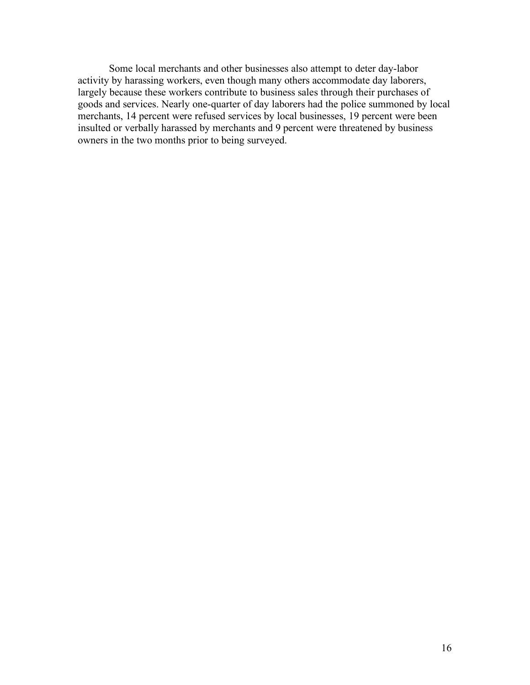Some local merchants and other businesses also attempt to deter day-labor activity by harassing workers, even though many others accommodate day laborers, largely because these workers contribute to business sales through their purchases of goods and services. Nearly one-quarter of day laborers had the police summoned by local merchants, 14 percent were refused services by local businesses, 19 percent were been insulted or verbally harassed by merchants and 9 percent were threatened by business owners in the two months prior to being surveyed.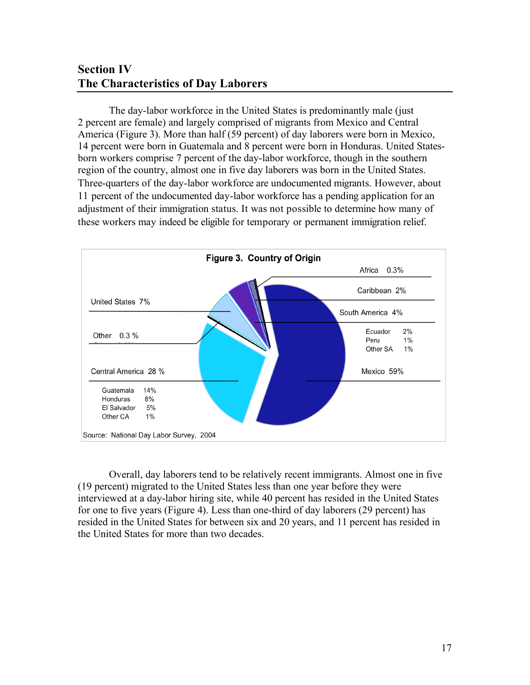# **Section IV The Characteristics of Day Laborers**

The day-labor workforce in the United States is predominantly male (just 2 percent are female) and largely comprised of migrants from Mexico and Central America (Figure 3). More than half (59 percent) of day laborers were born in Mexico, 14 percent were born in Guatemala and 8 percent were born in Honduras. United Statesborn workers comprise 7 percent of the day-labor workforce, though in the southern region of the country, almost one in five day laborers was born in the United States. Three-quarters of the day-labor workforce are undocumented migrants. However, about 11 percent of the undocumented day-labor workforce has a pending application for an adjustment of their immigration status. It was not possible to determine how many of these workers may indeed be eligible for temporary or permanent immigration relief.



Overall, day laborers tend to be relatively recent immigrants. Almost one in five (19 percent) migrated to the United States less than one year before they were interviewed at a day-labor hiring site, while 40 percent has resided in the United States for one to five years (Figure 4). Less than one-third of day laborers (29 percent) has resided in the United States for between six and 20 years, and 11 percent has resided in the United States for more than two decades.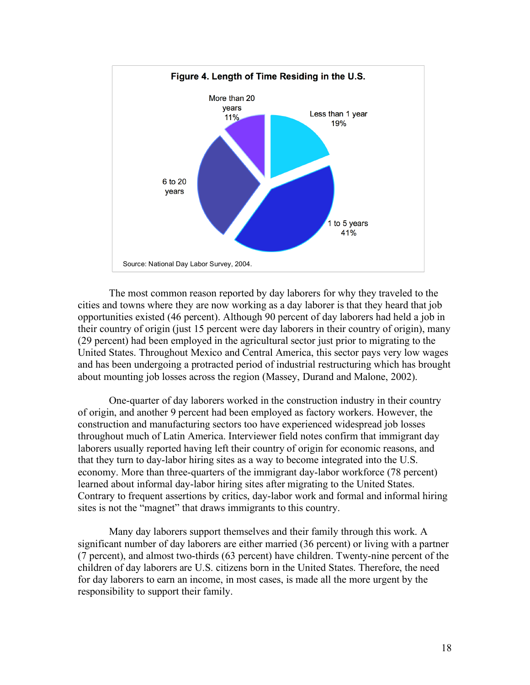

The most common reason reported by day laborers for why they traveled to the cities and towns where they are now working as a day laborer is that they heard that job opportunities existed (46 percent). Although 90 percent of day laborers had held a job in their country of origin (just 15 percent were day laborers in their country of origin), many (29 percent) had been employed in the agricultural sector just prior to migrating to the United States. Throughout Mexico and Central America, this sector pays very low wages and has been undergoing a protracted period of industrial restructuring which has brought about mounting job losses across the region (Massey, Durand and Malone, 2002).

One-quarter of day laborers worked in the construction industry in their country of origin, and another 9 percent had been employed as factory workers. However, the construction and manufacturing sectors too have experienced widespread job losses throughout much of Latin America. Interviewer field notes confirm that immigrant day laborers usually reported having left their country of origin for economic reasons, and that they turn to day-labor hiring sites as a way to become integrated into the U.S. economy. More than three-quarters of the immigrant day-labor workforce (78 percent) learned about informal day-labor hiring sites after migrating to the United States. Contrary to frequent assertions by critics, day-labor work and formal and informal hiring sites is not the "magnet" that draws immigrants to this country.

Many day laborers support themselves and their family through this work. A significant number of day laborers are either married (36 percent) or living with a partner (7 percent), and almost two-thirds (63 percent) have children. Twenty-nine percent of the children of day laborers are U.S. citizens born in the United States. Therefore, the need for day laborers to earn an income, in most cases, is made all the more urgent by the responsibility to support their family.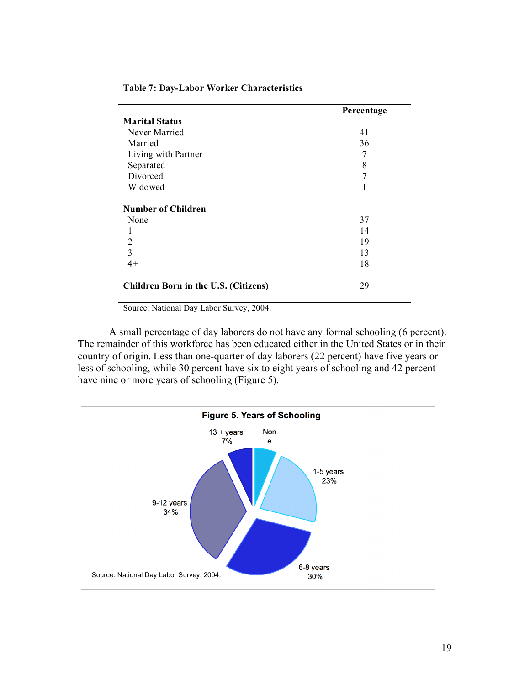|                                      | Percentage |
|--------------------------------------|------------|
| <b>Marital Status</b>                |            |
| Never Married                        | 41         |
| Married                              | 36         |
| Living with Partner                  | 7          |
| Separated                            | 8          |
| Divorced                             | 7          |
| Widowed                              |            |
| <b>Number of Children</b>            |            |
| None                                 | 37         |
|                                      | 14         |
| 2                                    | 19         |
| 3                                    | 13         |
| $4+$                                 | 18         |
| Children Born in the U.S. (Citizens) | 29         |

#### **Table 7: Day-Labor Worker Characteristics**

Source: National Day Labor Survey, 2004.

A small percentage of day laborers do not have any formal schooling (6 percent). The remainder of this workforce has been educated either in the United States or in their country of origin. Less than one-quarter of day laborers (22 percent) have five years or less of schooling, while 30 percent have six to eight years of schooling and 42 percent have nine or more years of schooling (Figure 5).

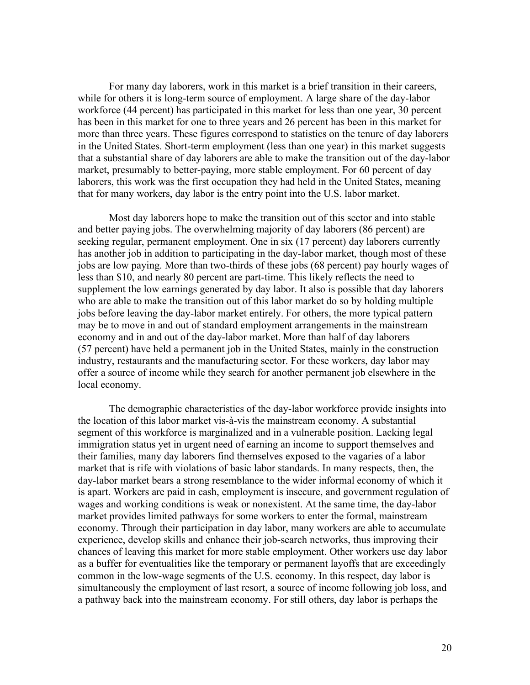For many day laborers, work in this market is a brief transition in their careers, while for others it is long-term source of employment. A large share of the day-labor workforce (44 percent) has participated in this market for less than one year, 30 percent has been in this market for one to three years and 26 percent has been in this market for more than three years. These figures correspond to statistics on the tenure of day laborers in the United States. Short-term employment (less than one year) in this market suggests that a substantial share of day laborers are able to make the transition out of the day-labor market, presumably to better-paying, more stable employment. For 60 percent of day laborers, this work was the first occupation they had held in the United States, meaning that for many workers, day labor is the entry point into the U.S. labor market.

Most day laborers hope to make the transition out of this sector and into stable and better paying jobs. The overwhelming majority of day laborers (86 percent) are seeking regular, permanent employment. One in six (17 percent) day laborers currently has another job in addition to participating in the day-labor market, though most of these jobs are low paying. More than two-thirds of these jobs (68 percent) pay hourly wages of less than \$10, and nearly 80 percent are part-time. This likely reflects the need to supplement the low earnings generated by day labor. It also is possible that day laborers who are able to make the transition out of this labor market do so by holding multiple jobs before leaving the day-labor market entirely. For others, the more typical pattern may be to move in and out of standard employment arrangements in the mainstream economy and in and out of the day-labor market. More than half of day laborers (57 percent) have held a permanent job in the United States, mainly in the construction industry, restaurants and the manufacturing sector. For these workers, day labor may offer a source of income while they search for another permanent job elsewhere in the local economy.

The demographic characteristics of the day-labor workforce provide insights into the location of this labor market vis-à-vis the mainstream economy. A substantial segment of this workforce is marginalized and in a vulnerable position. Lacking legal immigration status yet in urgent need of earning an income to support themselves and their families, many day laborers find themselves exposed to the vagaries of a labor market that is rife with violations of basic labor standards. In many respects, then, the day-labor market bears a strong resemblance to the wider informal economy of which it is apart. Workers are paid in cash, employment is insecure, and government regulation of wages and working conditions is weak or nonexistent. At the same time, the day-labor market provides limited pathways for some workers to enter the formal, mainstream economy. Through their participation in day labor, many workers are able to accumulate experience, develop skills and enhance their job-search networks, thus improving their chances of leaving this market for more stable employment. Other workers use day labor as a buffer for eventualities like the temporary or permanent layoffs that are exceedingly common in the low-wage segments of the U.S. economy. In this respect, day labor is simultaneously the employment of last resort, a source of income following job loss, and a pathway back into the mainstream economy. For still others, day labor is perhaps the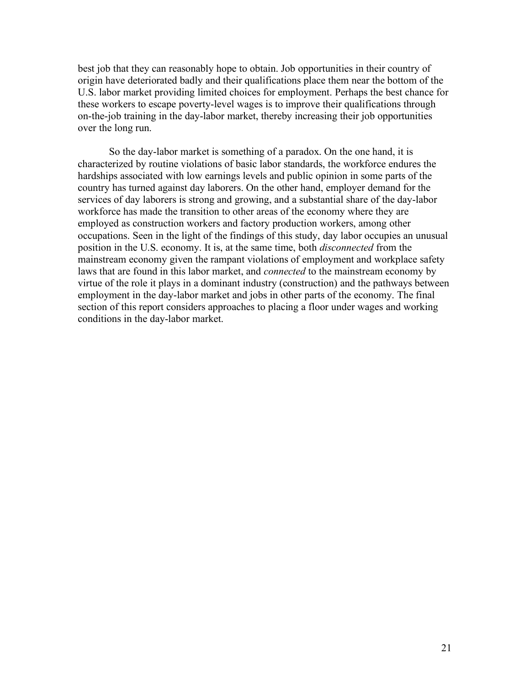best job that they can reasonably hope to obtain. Job opportunities in their country of origin have deteriorated badly and their qualifications place them near the bottom of the U.S. labor market providing limited choices for employment. Perhaps the best chance for these workers to escape poverty-level wages is to improve their qualifications through on-the-job training in the day-labor market, thereby increasing their job opportunities over the long run.

So the day-labor market is something of a paradox. On the one hand, it is characterized by routine violations of basic labor standards, the workforce endures the hardships associated with low earnings levels and public opinion in some parts of the country has turned against day laborers. On the other hand, employer demand for the services of day laborers is strong and growing, and a substantial share of the day-labor workforce has made the transition to other areas of the economy where they are employed as construction workers and factory production workers, among other occupations. Seen in the light of the findings of this study, day labor occupies an unusual position in the U.S. economy. It is, at the same time, both *disconnected* from the mainstream economy given the rampant violations of employment and workplace safety laws that are found in this labor market, and *connected* to the mainstream economy by virtue of the role it plays in a dominant industry (construction) and the pathways between employment in the day-labor market and jobs in other parts of the economy. The final section of this report considers approaches to placing a floor under wages and working conditions in the day-labor market.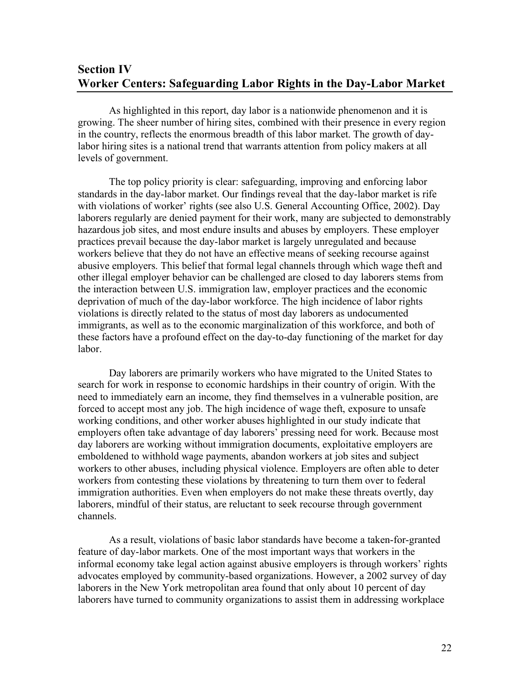# **Section IV Worker Centers: Safeguarding Labor Rights in the Day-Labor Market**

As highlighted in this report, day labor is a nationwide phenomenon and it is growing. The sheer number of hiring sites, combined with their presence in every region in the country, reflects the enormous breadth of this labor market. The growth of daylabor hiring sites is a national trend that warrants attention from policy makers at all levels of government.

The top policy priority is clear: safeguarding, improving and enforcing labor standards in the day-labor market. Our findings reveal that the day-labor market is rife with violations of worker' rights (see also U.S. General Accounting Office, 2002). Day laborers regularly are denied payment for their work, many are subjected to demonstrably hazardous job sites, and most endure insults and abuses by employers. These employer practices prevail because the day-labor market is largely unregulated and because workers believe that they do not have an effective means of seeking recourse against abusive employers. This belief that formal legal channels through which wage theft and other illegal employer behavior can be challenged are closed to day laborers stems from the interaction between U.S. immigration law, employer practices and the economic deprivation of much of the day-labor workforce. The high incidence of labor rights violations is directly related to the status of most day laborers as undocumented immigrants, as well as to the economic marginalization of this workforce, and both of these factors have a profound effect on the day-to-day functioning of the market for day labor.

Day laborers are primarily workers who have migrated to the United States to search for work in response to economic hardships in their country of origin. With the need to immediately earn an income, they find themselves in a vulnerable position, are forced to accept most any job. The high incidence of wage theft, exposure to unsafe working conditions, and other worker abuses highlighted in our study indicate that employers often take advantage of day laborers' pressing need for work. Because most day laborers are working without immigration documents, exploitative employers are emboldened to withhold wage payments, abandon workers at job sites and subject workers to other abuses, including physical violence. Employers are often able to deter workers from contesting these violations by threatening to turn them over to federal immigration authorities. Even when employers do not make these threats overtly, day laborers, mindful of their status, are reluctant to seek recourse through government channels.

As a result, violations of basic labor standards have become a taken-for-granted feature of day-labor markets. One of the most important ways that workers in the informal economy take legal action against abusive employers is through workers' rights advocates employed by community-based organizations. However, a 2002 survey of day laborers in the New York metropolitan area found that only about 10 percent of day laborers have turned to community organizations to assist them in addressing workplace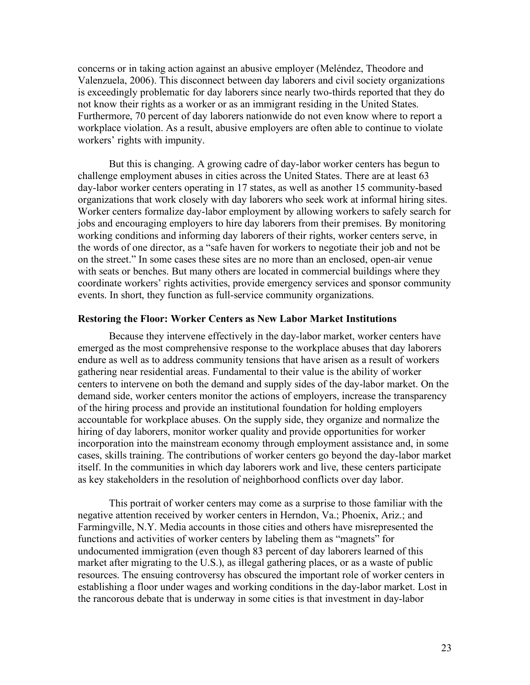concerns or in taking action against an abusive employer (Meléndez, Theodore and Valenzuela, 2006). This disconnect between day laborers and civil society organizations is exceedingly problematic for day laborers since nearly two-thirds reported that they do not know their rights as a worker or as an immigrant residing in the United States. Furthermore, 70 percent of day laborers nationwide do not even know where to report a workplace violation. As a result, abusive employers are often able to continue to violate workers' rights with impunity.

But this is changing. A growing cadre of day-labor worker centers has begun to challenge employment abuses in cities across the United States. There are at least 63 day-labor worker centers operating in 17 states, as well as another 15 community-based organizations that work closely with day laborers who seek work at informal hiring sites. Worker centers formalize day-labor employment by allowing workers to safely search for jobs and encouraging employers to hire day laborers from their premises. By monitoring working conditions and informing day laborers of their rights, worker centers serve, in the words of one director, as a "safe haven for workers to negotiate their job and not be on the street." In some cases these sites are no more than an enclosed, open-air venue with seats or benches. But many others are located in commercial buildings where they coordinate workers' rights activities, provide emergency services and sponsor community events. In short, they function as full-service community organizations.

#### **Restoring the Floor: Worker Centers as New Labor Market Institutions**

Because they intervene effectively in the day-labor market, worker centers have emerged as the most comprehensive response to the workplace abuses that day laborers endure as well as to address community tensions that have arisen as a result of workers gathering near residential areas. Fundamental to their value is the ability of worker centers to intervene on both the demand and supply sides of the day-labor market. On the demand side, worker centers monitor the actions of employers, increase the transparency of the hiring process and provide an institutional foundation for holding employers accountable for workplace abuses. On the supply side, they organize and normalize the hiring of day laborers, monitor worker quality and provide opportunities for worker incorporation into the mainstream economy through employment assistance and, in some cases, skills training. The contributions of worker centers go beyond the day-labor market itself. In the communities in which day laborers work and live, these centers participate as key stakeholders in the resolution of neighborhood conflicts over day labor.

This portrait of worker centers may come as a surprise to those familiar with the negative attention received by worker centers in Herndon, Va.; Phoenix, Ariz.; and Farmingville, N.Y. Media accounts in those cities and others have misrepresented the functions and activities of worker centers by labeling them as "magnets" for undocumented immigration (even though 83 percent of day laborers learned of this market after migrating to the U.S.), as illegal gathering places, or as a waste of public resources. The ensuing controversy has obscured the important role of worker centers in establishing a floor under wages and working conditions in the day-labor market. Lost in the rancorous debate that is underway in some cities is that investment in day-labor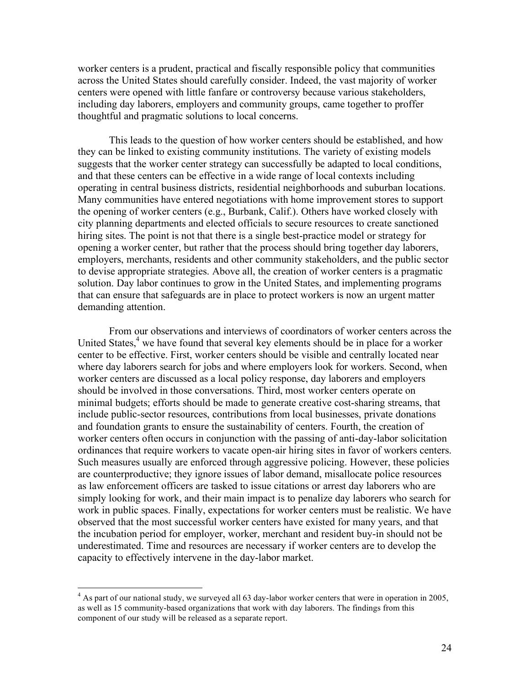worker centers is a prudent, practical and fiscally responsible policy that communities across the United States should carefully consider. Indeed, the vast majority of worker centers were opened with little fanfare or controversy because various stakeholders, including day laborers, employers and community groups, came together to proffer thoughtful and pragmatic solutions to local concerns.

This leads to the question of how worker centers should be established, and how they can be linked to existing community institutions. The variety of existing models suggests that the worker center strategy can successfully be adapted to local conditions, and that these centers can be effective in a wide range of local contexts including operating in central business districts, residential neighborhoods and suburban locations. Many communities have entered negotiations with home improvement stores to support the opening of worker centers (e.g., Burbank, Calif.). Others have worked closely with city planning departments and elected officials to secure resources to create sanctioned hiring sites. The point is not that there is a single best-practice model or strategy for opening a worker center, but rather that the process should bring together day laborers, employers, merchants, residents and other community stakeholders, and the public sector to devise appropriate strategies. Above all, the creation of worker centers is a pragmatic solution. Day labor continues to grow in the United States, and implementing programs that can ensure that safeguards are in place to protect workers is now an urgent matter demanding attention.

From our observations and interviews of coordinators of worker centers across the United States,<sup>4</sup> we have found that several key elements should be in place for a worker center to be effective. First, worker centers should be visible and centrally located near where day laborers search for jobs and where employers look for workers. Second, when worker centers are discussed as a local policy response, day laborers and employers should be involved in those conversations. Third, most worker centers operate on minimal budgets; efforts should be made to generate creative cost-sharing streams, that include public-sector resources, contributions from local businesses, private donations and foundation grants to ensure the sustainability of centers. Fourth, the creation of worker centers often occurs in conjunction with the passing of anti-day-labor solicitation ordinances that require workers to vacate open-air hiring sites in favor of workers centers. Such measures usually are enforced through aggressive policing. However, these policies are counterproductive; they ignore issues of labor demand, misallocate police resources as law enforcement officers are tasked to issue citations or arrest day laborers who are simply looking for work, and their main impact is to penalize day laborers who search for work in public spaces. Finally, expectations for worker centers must be realistic. We have observed that the most successful worker centers have existed for many years, and that the incubation period for employer, worker, merchant and resident buy-in should not be underestimated. Time and resources are necessary if worker centers are to develop the capacity to effectively intervene in the day-labor market.

<sup>&</sup>lt;sup>4</sup> As part of our national study, we surveyed all 63 day-labor worker centers that were in operation in 2005, as well as 15 community-based organizations that work with day laborers. The findings from this component of our study will be released as a separate report.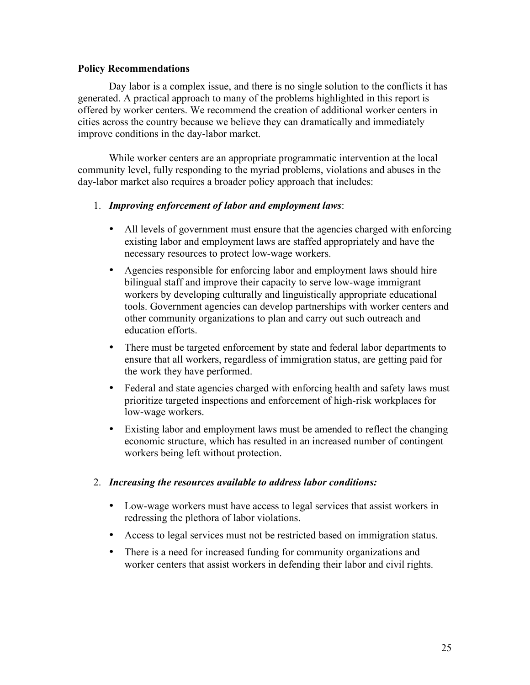#### **Policy Recommendations**

Day labor is a complex issue, and there is no single solution to the conflicts it has generated. A practical approach to many of the problems highlighted in this report is offered by worker centers. We recommend the creation of additional worker centers in cities across the country because we believe they can dramatically and immediately improve conditions in the day-labor market.

While worker centers are an appropriate programmatic intervention at the local community level, fully responding to the myriad problems, violations and abuses in the day-labor market also requires a broader policy approach that includes:

#### 1. *Improving enforcement of labor and employment laws*:

- All levels of government must ensure that the agencies charged with enforcing existing labor and employment laws are staffed appropriately and have the necessary resources to protect low-wage workers.
- Agencies responsible for enforcing labor and employment laws should hire bilingual staff and improve their capacity to serve low-wage immigrant workers by developing culturally and linguistically appropriate educational tools. Government agencies can develop partnerships with worker centers and other community organizations to plan and carry out such outreach and education efforts.
- There must be targeted enforcement by state and federal labor departments to ensure that all workers, regardless of immigration status, are getting paid for the work they have performed.
- Federal and state agencies charged with enforcing health and safety laws must prioritize targeted inspections and enforcement of high-risk workplaces for low-wage workers.
- Existing labor and employment laws must be amended to reflect the changing economic structure, which has resulted in an increased number of contingent workers being left without protection.

#### 2. *Increasing the resources available to address labor conditions:*

- Low-wage workers must have access to legal services that assist workers in redressing the plethora of labor violations.
- Access to legal services must not be restricted based on immigration status.
- There is a need for increased funding for community organizations and worker centers that assist workers in defending their labor and civil rights.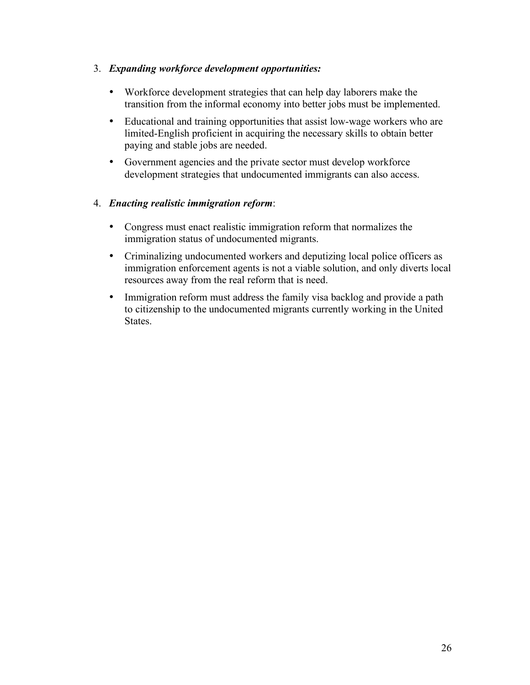### 3. *Expanding workforce development opportunities:*

- Workforce development strategies that can help day laborers make the transition from the informal economy into better jobs must be implemented.
- Educational and training opportunities that assist low-wage workers who are limited-English proficient in acquiring the necessary skills to obtain better paying and stable jobs are needed.
- Government agencies and the private sector must develop workforce development strategies that undocumented immigrants can also access.

### 4. *Enacting realistic immigration reform*:

- Congress must enact realistic immigration reform that normalizes the immigration status of undocumented migrants.
- Criminalizing undocumented workers and deputizing local police officers as immigration enforcement agents is not a viable solution, and only diverts local resources away from the real reform that is need.
- Immigration reform must address the family visa backlog and provide a path to citizenship to the undocumented migrants currently working in the United States.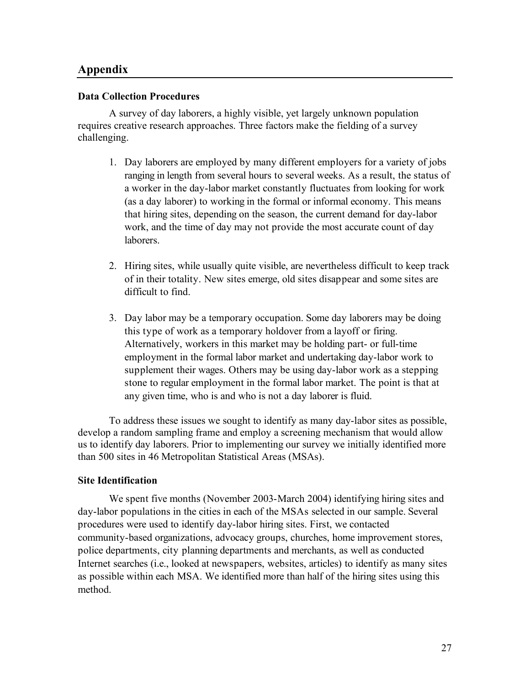### **Appendix**

#### **Data Collection Procedures**

A survey of day laborers, a highly visible, yet largely unknown population requires creative research approaches. Three factors make the fielding of a survey challenging.

- 1. Day laborers are employed by many different employers for a variety of jobs ranging in length from several hours to several weeks. As a result, the status of a worker in the day-labor market constantly fluctuates from looking for work (as a day laborer) to working in the formal or informal economy. This means that hiring sites, depending on the season, the current demand for day-labor work, and the time of day may not provide the most accurate count of day laborers.
- 2. Hiring sites, while usually quite visible, are nevertheless difficult to keep track of in their totality. New sites emerge, old sites disappear and some sites are difficult to find.
- 3. Day labor may be a temporary occupation. Some day laborers may be doing this type of work as a temporary holdover from a layoff or firing. Alternatively, workers in this market may be holding part- or full-time employment in the formal labor market and undertaking day-labor work to supplement their wages. Others may be using day-labor work as a stepping stone to regular employment in the formal labor market. The point is that at any given time, who is and who is not a day laborer is fluid.

To address these issues we sought to identify as many day-labor sites as possible, develop a random sampling frame and employ a screening mechanism that would allow us to identify day laborers. Prior to implementing our survey we initially identified more than 500 sites in 46 Metropolitan Statistical Areas (MSAs).

### **Site Identification**

We spent five months (November 2003-March 2004) identifying hiring sites and day-labor populations in the cities in each of the MSAs selected in our sample. Several procedures were used to identify day-labor hiring sites. First, we contacted community-based organizations, advocacy groups, churches, home improvement stores, police departments, city planning departments and merchants, as well as conducted Internet searches (i.e., looked at newspapers, websites, articles) to identify as many sites as possible within each MSA. We identified more than half of the hiring sites using this method.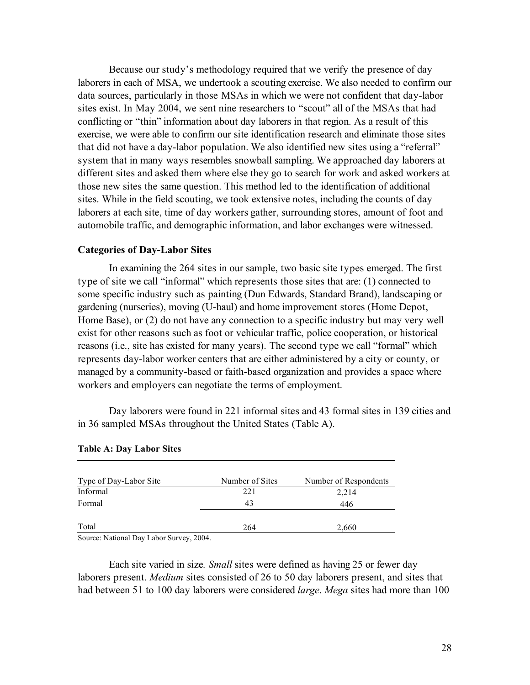Because our study's methodology required that we verify the presence of day laborers in each of MSA, we undertook a scouting exercise. We also needed to confirm our data sources, particularly in those MSAs in which we were not confident that day-labor sites exist. In May 2004, we sent nine researchers to "scout" all of the MSAs that had conflicting or "thin" information about day laborers in that region. As a result of this exercise, we were able to confirm our site identification research and eliminate those sites that did not have a day-labor population. We also identified new sites using a "referral" system that in many ways resembles snowball sampling. We approached day laborers at different sites and asked them where else they go to search for work and asked workers at those new sites the same question. This method led to the identification of additional sites. While in the field scouting, we took extensive notes, including the counts of day laborers at each site, time of day workers gather, surrounding stores, amount of foot and automobile traffic, and demographic information, and labor exchanges were witnessed.

#### **Categories of Day-Labor Sites**

In examining the 264 sites in our sample, two basic site types emerged. The first type of site we call "informal" which represents those sites that are: (1) connected to some specific industry such as painting (Dun Edwards, Standard Brand), landscaping or gardening (nurseries), moving (U-haul) and home improvement stores (Home Depot, Home Base), or (2) do not have any connection to a specific industry but may very well exist for other reasons such as foot or vehicular traffic, police cooperation, or historical reasons (i.e., site has existed for many years). The second type we call "formal" which represents day-labor worker centers that are either administered by a city or county, or managed by a community-based or faith-based organization and provides a space where workers and employers can negotiate the terms of employment.

Day laborers were found in 221 informal sites and 43 formal sites in 139 cities and in 36 sampled MSAs throughout the United States (Table A).

| Type of Day-Labor Site | Number of Sites | Number of Respondents |
|------------------------|-----------------|-----------------------|
| Informal               | 221             | 2,214                 |
| Formal                 | 43              | 446                   |
|                        |                 |                       |
| Total                  | 264             | 2,660                 |

#### **Table A: Day Labor Sites**

Source: National Day Labor Survey, 2004.

Each site varied in size*. Small* sites were defined as having 25 or fewer day laborers present. *Medium* sites consisted of 26 to 50 day laborers present, and sites that had between 51 to 100 day laborers were considered *large*. *Mega* sites had more than 100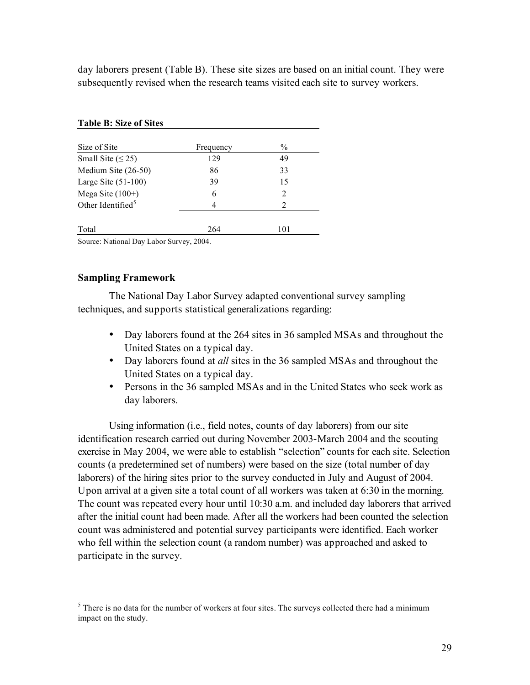day laborers present (Table B). These site sizes are based on an initial count. They were subsequently revised when the research teams visited each site to survey workers.

|     | $\frac{0}{0}$  |
|-----|----------------|
| 129 | 49             |
| 86  | 33             |
| 39  | 15             |
| 6   | 2              |
| 4   | $\mathfrak{D}$ |
|     |                |
| 264 | 101            |
|     | Frequency      |

#### **Table B: Size of Sites**

Source: National Day Labor Survey, 2004.

#### **Sampling Framework**

The National Day Labor Survey adapted conventional survey sampling techniques, and supports statistical generalizations regarding:

- Day laborers found at the 264 sites in 36 sampled MSAs and throughout the United States on a typical day.
- Day laborers found at *all* sites in the 36 sampled MSAs and throughout the United States on a typical day.
- Persons in the 36 sampled MSAs and in the United States who seek work as day laborers.

Using information (i.e., field notes, counts of day laborers) from our site identification research carried out during November 2003-March 2004 and the scouting exercise in May 2004, we were able to establish "selection" counts for each site. Selection counts (a predetermined set of numbers) were based on the size (total number of day laborers) of the hiring sites prior to the survey conducted in July and August of 2004. Upon arrival at a given site a total count of all workers was taken at 6:30 in the morning. The count was repeated every hour until 10:30 a.m. and included day laborers that arrived after the initial count had been made. After all the workers had been counted the selection count was administered and potential survey participants were identified. Each worker who fell within the selection count (a random number) was approached and asked to participate in the survey.

 $<sup>5</sup>$  There is no data for the number of workers at four sites. The surveys collected there had a minimum</sup> impact on the study.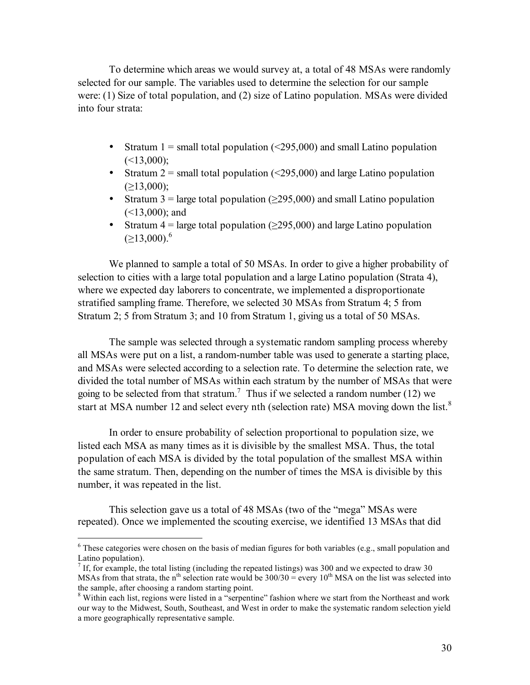To determine which areas we would survey at, a total of 48 MSAs were randomly selected for our sample. The variables used to determine the selection for our sample were: (1) Size of total population, and (2) size of Latino population. MSAs were divided into four strata:

- Stratum 1 = small total population  $(\leq 295,000)$  and small Latino population  $(\leq 13,000)$ ;
- Stratum 2 = small total population  $(\leq 295,000)$  and large Latino population  $(>13,000)$ ;
- Stratum 3 = large total population ( $\geq$ 295,000) and small Latino population  $(<13,000)$ ; and
- Stratum  $4 = \text{large total population} (>295,000)$  and large Latino population (≥13,000).<sup>6</sup>

We planned to sample a total of 50 MSAs. In order to give a higher probability of selection to cities with a large total population and a large Latino population (Strata 4), where we expected day laborers to concentrate, we implemented a disproportionate stratified sampling frame. Therefore, we selected 30 MSAs from Stratum 4; 5 from Stratum 2; 5 from Stratum 3; and 10 from Stratum 1, giving us a total of 50 MSAs.

The sample was selected through a systematic random sampling process whereby all MSAs were put on a list, a random-number table was used to generate a starting place, and MSAs were selected according to a selection rate. To determine the selection rate, we divided the total number of MSAs within each stratum by the number of MSAs that were going to be selected from that stratum.<sup>7</sup> Thus if we selected a random number (12) we start at MSA number 12 and select every nth (selection rate) MSA moving down the list.<sup>8</sup>

In order to ensure probability of selection proportional to population size, we listed each MSA as many times as it is divisible by the smallest MSA. Thus, the total population of each MSA is divided by the total population of the smallest MSA within the same stratum. Then, depending on the number of times the MSA is divisible by this number, it was repeated in the list.

This selection gave us a total of 48 MSAs (two of the "mega" MSAs were repeated). Once we implemented the scouting exercise, we identified 13 MSAs that did

<sup>&</sup>lt;sup>6</sup> These categories were chosen on the basis of median figures for both variables (e.g., small population and Latino population).<br><sup>7</sup> If, for example, the total listing (including the repeated listings) was 300 and we expected to draw 30

MSAs from that strata, the n<sup>th</sup> selection rate would be  $300/30 =$  every 10<sup>th</sup> MSA on the list was selected into the sample, after choosing a random starting point.<br><sup>8</sup> Within each list, regions were listed in a "serpentine" fashion where we start from the Northeast and work

our way to the Midwest, South, Southeast, and West in order to make the systematic random selection yield a more geographically representative sample.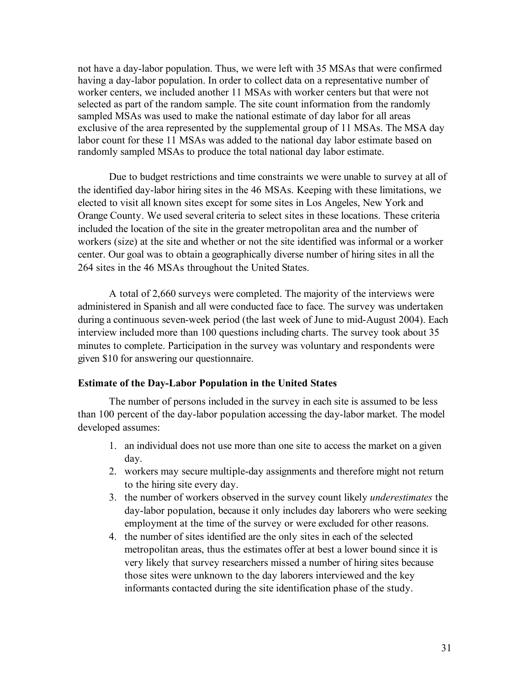not have a day-labor population. Thus, we were left with 35 MSAs that were confirmed having a day-labor population. In order to collect data on a representative number of worker centers, we included another 11 MSAs with worker centers but that were not selected as part of the random sample. The site count information from the randomly sampled MSAs was used to make the national estimate of day labor for all areas exclusive of the area represented by the supplemental group of 11 MSAs. The MSA day labor count for these 11 MSAs was added to the national day labor estimate based on randomly sampled MSAs to produce the total national day labor estimate.

Due to budget restrictions and time constraints we were unable to survey at all of the identified day-labor hiring sites in the 46 MSAs. Keeping with these limitations, we elected to visit all known sites except for some sites in Los Angeles, New York and Orange County. We used several criteria to select sites in these locations. These criteria included the location of the site in the greater metropolitan area and the number of workers (size) at the site and whether or not the site identified was informal or a worker center. Our goal was to obtain a geographically diverse number of hiring sites in all the 264 sites in the 46 MSAs throughout the United States.

A total of 2,660 surveys were completed. The majority of the interviews were administered in Spanish and all were conducted face to face. The survey was undertaken during a continuous seven-week period (the last week of June to mid-August 2004). Each interview included more than 100 questions including charts. The survey took about 35 minutes to complete. Participation in the survey was voluntary and respondents were given \$10 for answering our questionnaire.

#### **Estimate of the Day-Labor Population in the United States**

The number of persons included in the survey in each site is assumed to be less than 100 percent of the day-labor population accessing the day-labor market. The model developed assumes:

- 1. an individual does not use more than one site to access the market on a given day.
- 2. workers may secure multiple-day assignments and therefore might not return to the hiring site every day.
- 3. the number of workers observed in the survey count likely *underestimates* the day-labor population, because it only includes day laborers who were seeking employment at the time of the survey or were excluded for other reasons.
- 4. the number of sites identified are the only sites in each of the selected metropolitan areas, thus the estimates offer at best a lower bound since it is very likely that survey researchers missed a number of hiring sites because those sites were unknown to the day laborers interviewed and the key informants contacted during the site identification phase of the study.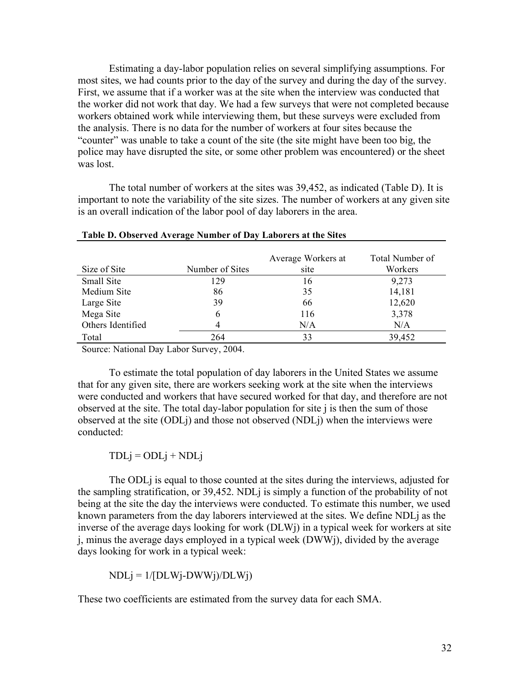Estimating a day-labor population relies on several simplifying assumptions. For most sites, we had counts prior to the day of the survey and during the day of the survey. First, we assume that if a worker was at the site when the interview was conducted that the worker did not work that day. We had a few surveys that were not completed because workers obtained work while interviewing them, but these surveys were excluded from the analysis. There is no data for the number of workers at four sites because the "counter" was unable to take a count of the site (the site might have been too big, the police may have disrupted the site, or some other problem was encountered) or the sheet was lost.

The total number of workers at the sites was 39,452, as indicated (Table D). It is important to note the variability of the site sizes. The number of workers at any given site is an overall indication of the labor pool of day laborers in the area.

| Size of Site      | Number of Sites | Average Workers at<br>site | Total Number of<br>Workers |
|-------------------|-----------------|----------------------------|----------------------------|
| Small Site        | 129             | 16                         | 9,273                      |
| Medium Site       | 86              | 35                         | 14,181                     |
| Large Site        | 39              | 66                         | 12,620                     |
| Mega Site         | 6               | 116                        | 3,378                      |
| Others Identified | 4               | N/A                        | N/A                        |
| Total             | 264             | 33                         | 39,452                     |

**Table D. Observed Average Number of Day Laborers at the Sites**

Source: National Day Labor Survey, 2004.

To estimate the total population of day laborers in the United States we assume that for any given site, there are workers seeking work at the site when the interviews were conducted and workers that have secured worked for that day, and therefore are not observed at the site. The total day-labor population for site j is then the sum of those observed at the site (ODLj) and those not observed (NDLj) when the interviews were conducted:

 $TDLj = ODLj + NDLj$ 

The ODLj is equal to those counted at the sites during the interviews, adjusted for the sampling stratification, or 39,452. NDLj is simply a function of the probability of not being at the site the day the interviews were conducted. To estimate this number, we used known parameters from the day laborers interviewed at the sites. We define NDLj as the inverse of the average days looking for work (DLWj) in a typical week for workers at site j, minus the average days employed in a typical week (DWWj), divided by the average days looking for work in a typical week:

 $NDLj = 1/[DLWj-DWWj)/DLWj)$ 

These two coefficients are estimated from the survey data for each SMA.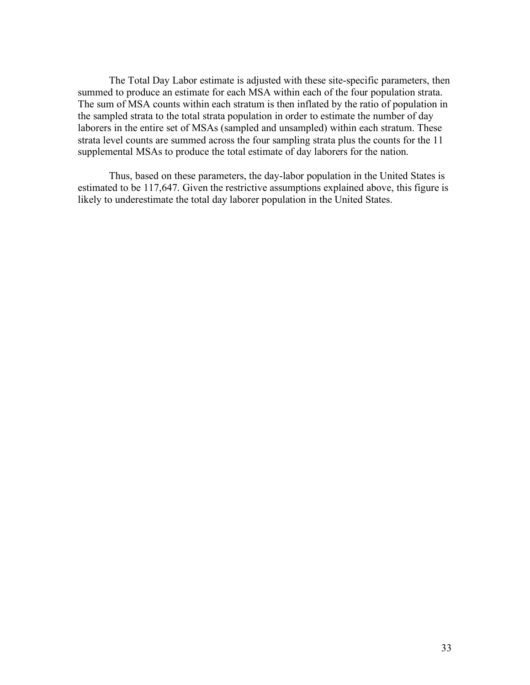The Total Day Labor estimate is adjusted with these site-specific parameters, then summed to produce an estimate for each MSA within each of the four population strata. The sum of MSA counts within each stratum is then inflated by the ratio of population in the sampled strata to the total strata population in order to estimate the number of day laborers in the entire set of MSAs (sampled and unsampled) within each stratum. These strata level counts are summed across the four sampling strata plus the counts for the 11 supplemental MSAs to produce the total estimate of day laborers for the nation.

Thus, based on these parameters, the day-labor population in the United States is estimated to be 117,647. Given the restrictive assumptions explained above, this figure is likely to underestimate the total day laborer population in the United States.